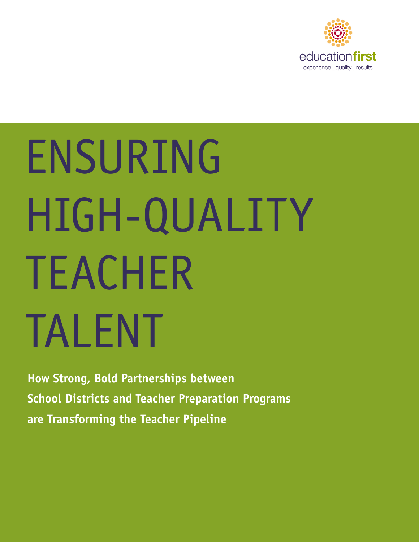

# ENSURING HIGH-QUALITY TEACHER TALENT

**How Strong, Bold Partnerships between School Districts and Teacher Preparation Programs are Transforming the Teacher Pipeline**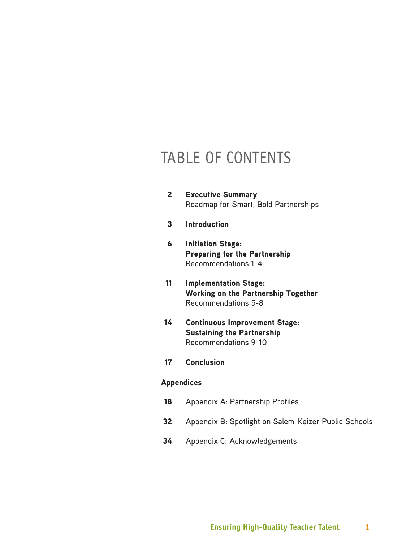# TABLE OF CONTENTS

- 2 Executive Summary Roadmap for Smart, Bold Partnerships
- 3 Introduction
- 6 Initiation Stage: Preparing for the Partnership Recommendations 1-4
- 11 Implementation Stage: Working on the Partnership Together Recommendations 5-8
- 14 Continuous Improvement Stage: Sustaining the Partnership Recommendations 9-10
- 17 Conclusion

# Appendices

- 18 Appendix A: Partnership Profiles
- 32 Appendix B: Spotlight on Salem-Keizer Public Schools
- 34 Appendix C: Acknowledgements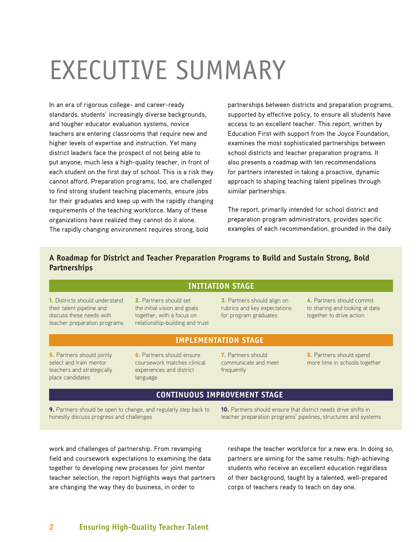# EXECUTIVE SUMMARY

In an era of rigorous college- and career-ready standards, students' increasingly diverse backgrounds, and tougher educator evaluation systems, novice teachers are entering classrooms that require new and higher levels of expertise and instruction. Yet many district leaders face the prospect of not being able to put anyone, much less a high-quality teacher, in front of each student on the first day of school. This is a risk they cannot afford. Preparation programs, too, are challenged to find strong student teaching placements, ensure jobs for their graduates and keep up with the rapidly changing requirements of the teaching workforce. Many of these organizations have realized they cannot do it alone. The rapidly changing environment requires strong, bold

partnerships between districts and preparation programs, supported by effective policy, to ensure all students have access to an excellent teacher. This report, written by Education First with support from the Joyce Foundation, examines the most sophisticated partnerships between school districts and teacher preparation programs. It also presents a roadmap with ten recommendations for partners interested in taking a proactive, dynamic approach to shaping teaching talent pipelines through similar partnerships.

The report, primarily intended for school district and preparation program administrators, provides specific examples of each recommendation, grounded in the daily

# **A Roadmap for District and Teacher Preparation Programs to Build and Sustain Strong, Bold Partnerships**

# **INITIATION STAGE**

1. Districts should understand their talent pipeline and discuss these needs with teacher preparation programs

2. Partners should set the initial vision and goals together, with a focus on relationship-building and trust

# 3. Partners should align on rubrics and key expectations for program graduates

4. Partners should commit to sharing and looking at data together to drive action

# **IMPLEMENTATION STAGE**

**5.** Partners should jointly select and train mentor teachers and strategically place candidates

**6.** Partners should ensure coursework matches clinical experiences and district language

7. Partners should communicate and meet frequently

8. Partners should spend more time in schools together

# **CONTINUOUS IMPROVEMENT STAGE**

9. Partners should be open to change, and regularly step back to honestly discuss progress and challenges

10. Partners should ensure that district needs drive shifts in teacher preparation programs' pipelines, structures and systems

work and challenges of partnership. From revamping field and coursework expectations to examining the data together to developing new processes for joint mentor teacher selection, the report highlights ways that partners are changing the way they do business, in order to

reshape the teacher workforce for a new era. In doing so, partners are aiming for the same results: high-achieving students who receive an excellent education regardless of their background, taught by a talented, well-prepared corps of teachers ready to teach on day one.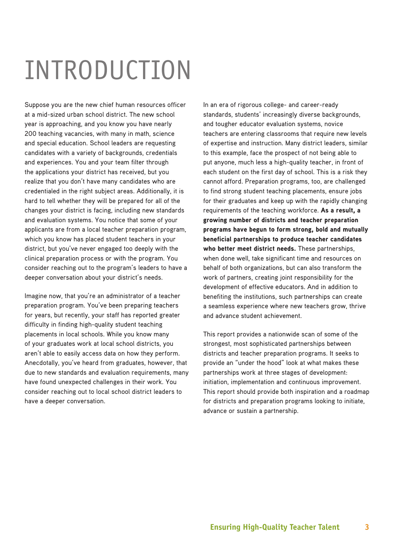# INTRODUCTION

Suppose you are the new chief human resources officer at a mid-sized urban school district. The new school year is approaching, and you know you have nearly 200 teaching vacancies, with many in math, science and special education. School leaders are requesting candidates with a variety of backgrounds, credentials and experiences. You and your team filter through the applications your district has received, but you realize that you don't have many candidates who are credentialed in the right subject areas. Additionally, it is hard to tell whether they will be prepared for all of the changes your district is facing, including new standards and evaluation systems. You notice that some of your applicants are from a local teacher preparation program, which you know has placed student teachers in your district, but you've never engaged too deeply with the clinical preparation process or with the program. You consider reaching out to the program's leaders to have a deeper conversation about your district's needs.

Imagine now, that you're an administrator of a teacher preparation program. You've been preparing teachers for years, but recently, your staff has reported greater difficulty in finding high-quality student teaching placements in local schools. While you know many of your graduates work at local school districts, you aren't able to easily access data on how they perform. Anecdotally, you've heard from graduates, however, that due to new standards and evaluation requirements, many have found unexpected challenges in their work. You consider reaching out to local school district leaders to have a deeper conversation.

In an era of rigorous college- and career-ready standards, students' increasingly diverse backgrounds, and tougher educator evaluation systems, novice teachers are entering classrooms that require new levels of expertise and instruction. Many district leaders, similar to this example, face the prospect of not being able to put anyone, much less a high-quality teacher, in front of each student on the first day of school. This is a risk they cannot afford. Preparation programs, too, are challenged to find strong student teaching placements, ensure jobs for their graduates and keep up with the rapidly changing requirements of the teaching workforce. As a result, a growing number of districts and teacher preparation programs have begun to form strong, bold and mutually beneficial partnerships to produce teacher candidates who better meet district needs. These partnerships, when done well, take significant time and resources on behalf of both organizations, but can also transform the work of partners, creating joint responsibility for the development of effective educators. And in addition to benefiting the institutions, such partnerships can create a seamless experience where new teachers grow, thrive and advance student achievement.

This report provides a nationwide scan of some of the strongest, most sophisticated partnerships between districts and teacher preparation programs. It seeks to provide an "under the hood" look at what makes these partnerships work at three stages of development: initiation, implementation and continuous improvement. This report should provide both inspiration and a roadmap for districts and preparation programs looking to initiate, advance or sustain a partnership.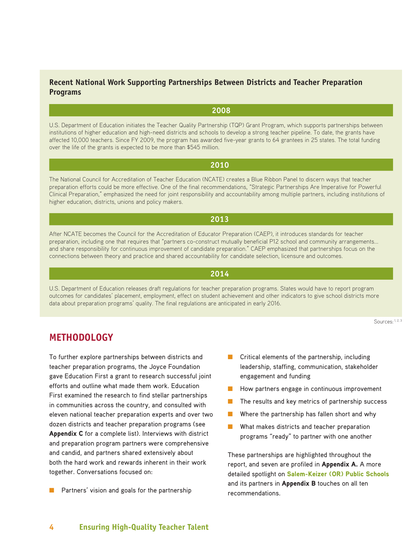# **Recent National Work Supporting Partnerships Between Districts and Teacher Preparation Programs**

# **2008**

U.S. Department of Education initiates the Teacher Quality Partnership (TQP) Grant Program, which supports partnerships between institutions of higher education and high-need districts and schools to develop a strong teacher pipeline. To date, the grants have affected 10,000 teachers. Since FY 2009, the program has awarded five-year grants to 64 grantees in 25 states. The total funding over the life of the grants is expected to be more than \$545 million.

# **2010**

The National Council for Accreditation of Teacher Education (NCATE) creates a Blue Ribbon Panel to discern ways that teacher preparation efforts could be more effective. One of the final recommendations, "Strategic Partnerships Are Imperative for Powerful Clinical Preparation," emphasized the need for joint responsibility and accountability among multiple partners, including institutions of higher education, districts, unions and policy makers.

# **2013**

After NCATE becomes the Council for the Accreditation of Educator Preparation (CAEP), it introduces standards for teacher preparation, including one that requires that "partners co-construct mutually beneficial P12 school and community arrangements... and share responsibility for continuous improvement of candidate preparation." CAEP emphasized that partnerships focus on the connections between theory and practice and shared accountability for candidate selection, licensure and outcomes.

# **2014**

U.S. Department of Education releases draft regulations for teacher preparation programs. States would have to report program outcomes for candidates' placement, employment, effect on student achievement and other indicators to give school districts more data about preparation programs' quality. The final regulations are anticipated in early 2016.

Sources: 1, 2, 3

# **METHODOLOGY**

To further explore partnerships between districts and teacher preparation programs, the Joyce Foundation gave Education First a grant to research successful joint efforts and outline what made them work. Education First examined the research to find stellar partnerships in communities across the country, and consulted with eleven national teacher preparation experts and over two dozen districts and teacher preparation programs (see Appendix C for a complete list). Interviews with district and preparation program partners were comprehensive and candid, and partners shared extensively about both the hard work and rewards inherent in their work together. Conversations focused on:

■ Partners' vision and goals for the partnership

- Critical elements of the partnership, including leadership, staffing, communication, stakeholder engagement and funding
- How partners engage in continuous improvement
- The results and key metrics of partnership success
- Where the partnership has fallen short and why
- What makes districts and teacher preparation programs "ready" to partner with one another

These partnerships are highlighted throughout the report, and seven are profiled in **Appendix A.** A more detailed spotlight on [Salem-Keizer \(OR\) Public Schools](http://www.salkeiz.k12.or.us/) and its partners in **Appendix B** touches on all ten recommendations.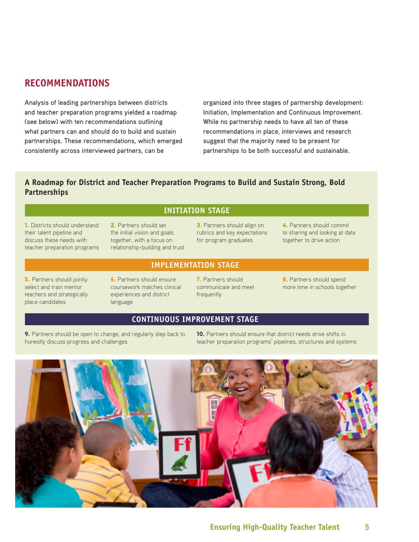# **RECOMMENDATIONS**

Analysis of leading partnerships between districts and teacher preparation programs yielded a roadmap (see below) with ten recommendations outlining what partners can and should do to build and sustain partnerships. These recommendations, which emerged consistently across interviewed partners, can be

organized into three stages of partnership development: Initiation, Implementation and Continuous Improvement. While no partnership needs to have all ten of these recommendations in place, interviews and research suggest that the majority need to be present for partnerships to be both successful and sustainable.

# **A Roadmap for District and Teacher Preparation Programs to Build and Sustain Strong, Bold Partnerships**

# **INITIATION STAGE**

1. Districts should understand their talent pipeline and discuss these needs with teacher preparation programs

2. Partners should set the initial vision and goals together, with a focus on relationship-building and trust 3. Partners should align on rubrics and key expectations for program graduates

4. Partners should commit to sharing and looking at data together to drive action

**5.** Partners should jointly select and train mentor teachers and strategically place candidates

6. Partners should ensure coursework matches clinical experiences and district

# **IMPLEMENTATION STAGE**

7. Partners should communicate and meet frequently

8. Partners should spend more time in schools together

# **CONTINUOUS IMPROVEMENT STAGE**

9. Partners should be open to change, and regularly step back to honestly discuss progress and challenges

language

10. Partners should ensure that district needs drive shifts in teacher preparation programs' pipelines, structures and systems

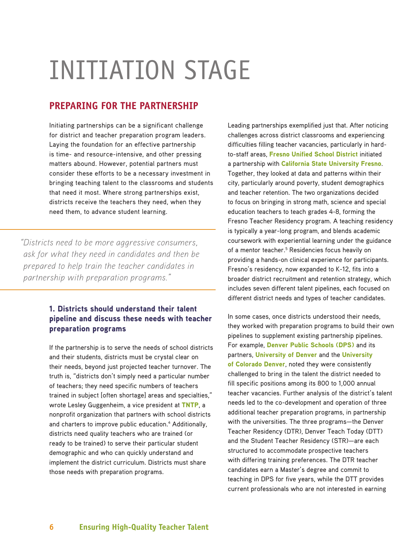# INITIATION STAGE

# **PREPARING FOR THE PARTNERSHIP**

Initiating partnerships can be a significant challenge for district and teacher preparation program leaders. Laying the foundation for an effective partnership is time- and resource-intensive, and other pressing matters abound. However, potential partners must consider these efforts to be a necessary investment in bringing teaching talent to the classrooms and students that need it most. Where strong partnerships exist, districts receive the teachers they need, when they need them, to advance student learning.

*"Districts need to be more aggressive consumers, ask for what they need in candidates and then be prepared to help train the teacher candidates in partnership with preparation programs."*

# 1. Districts should understand their talent pipeline and discuss these needs with teacher preparation programs

If the partnership is to serve the needs of school districts and their students, districts must be crystal clear on their needs, beyond just projected teacher turnover. The truth is, "districts don't simply need a particular number of teachers; they need specific numbers of teachers trained in subject [often shortage] areas and specialties," wrote Lesley Guggenheim, a vice president at [TNTP](http://tntp.org/), a nonprofit organization that partners with school districts and charters to improve public education.<sup>4</sup> Additionally, districts need quality teachers who are trained (or ready to be trained) to serve their particular student demographic and who can quickly understand and implement the district curriculum. Districts must share those needs with preparation programs.

Leading partnerships exemplified just that. After noticing challenges across district classrooms and experiencing difficulties filling teacher vacancies, particularly in hardto-staff areas, [Fresno Unified School District](http://www.fresnounified.org/Pages/Default.aspx) initiated a partnership with [California State University Fresno](http://www.fresnostate.edu/). Together, they looked at data and patterns within their city, particularly around poverty, student demographics and teacher retention. The two organizations decided to focus on bringing in strong math, science and special education teachers to teach grades 4-8, forming the Fresno Teacher Residency program. A teaching residency is typically a year-long program, and blends academic coursework with experiential learning under the guidance of a mentor teacher.<sup>5</sup> Residencies focus heavily on providing a hands-on clinical experience for participants. Fresno's residency, now expanded to K-12, fits into a broader district recruitment and retention strategy, which includes seven different talent pipelines, each focused on different district needs and types of teacher candidates.

In some cases, once districts understood their needs, they worked with preparation programs to build their own pipelines to supplement existing partnership pipelines. For example, [Denver Public Schools \(DPS\)](http://www.dpsk12.org/) and its partners, [University of Denver](http://www.du.edu/) and the University [of Colorado Denver](http://www.ucdenver.edu/Pages/UCDWelcomePage.aspx), noted they were consistently challenged to bring in the talent the district needed to fill specific positions among its 800 to 1,000 annual teacher vacancies. Further analysis of the district's talent needs led to the co-development and operation of three additional teacher preparation programs, in partnership with the universities. The three programs—the Denver Teacher Residency (DTR), Denver Teach Today (DTT) and the Student Teacher Residency (STR)—are each structured to accommodate prospective teachers with differing training preferences. The DTR teacher candidates earn a Master's degree and commit to teaching in DPS for five years, while the DTT provides current professionals who are not interested in earning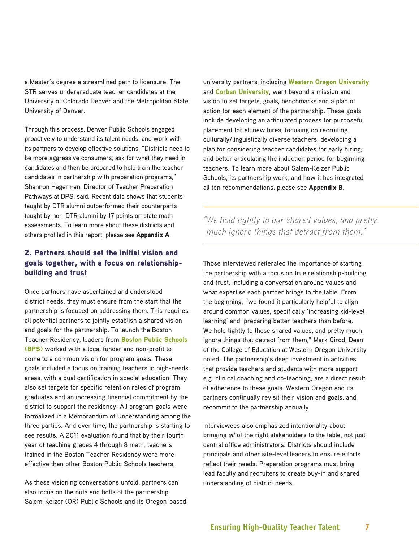a Master's degree a streamlined path to licensure. The STR serves undergraduate teacher candidates at the University of Colorado Denver and the Metropolitan State University of Denver.

Through this process, Denver Public Schools engaged proactively to understand its talent needs, and work with its partners to develop effective solutions. "Districts need to be more aggressive consumers, ask for what they need in candidates and then be prepared to help train the teacher candidates in partnership with preparation programs," Shannon Hagerman, Director of Teacher Preparation Pathways at DPS, said. Recent data shows that students taught by DTR alumni outperformed their counterparts taught by non-DTR alumni by 17 points on state math assessments. To learn more about these districts and others profiled in this report, please see Appendix A.

# 2. Partners should set the initial vision and goals together, with a focus on relationshipbuilding and trust

Once partners have ascertained and understood district needs, they must ensure from the start that the partnership is focused on addressing them. This requires all potential partners to jointly establish a shared vision and goals for the partnership. To launch the Boston Teacher Residency, leaders from [Boston Public Schools](http://www.bostonpublicschools.org/site/default.aspx?PageID=1)  [\(BPS\)](http://www.bostonpublicschools.org/site/default.aspx?PageID=1) worked with a local funder and non-profit to come to a common vision for program goals. These goals included a focus on training teachers in high-needs areas, with a dual certification in special education. They also set targets for specific retention rates of program graduates and an increasing financial commitment by the district to support the residency. All program goals were formalized in a Memorandum of Understanding among the three parties. And over time, the partnership is starting to see results. A 2011 evaluation found that by their fourth year of teaching grades 4 through 8 math, teachers trained in the Boston Teacher Residency were more effective than other Boston Public Schools teachers.

As these visioning conversations unfold, partners can also focus on the nuts and bolts of the partnership. Salem-Keizer (OR) Public Schools and its Oregon-based university partners, including [Western Oregon University](http://www.wou.edu/homepage/) and [Corban University](https://www.corban.edu/), went beyond a mission and vision to set targets, goals, benchmarks and a plan of action for each element of the partnership. These goals include developing an articulated process for purposeful placement for all new hires, focusing on recruiting culturally/linguistically diverse teachers; developing a plan for considering teacher candidates for early hiring; and better articulating the induction period for beginning teachers. To learn more about Salem-Keizer Public Schools, its partnership work, and how it has integrated all ten recommendations, please see Appendix B.

*"We hold tightly to our shared values, and pretty much ignore things that detract from them."*

Those interviewed reiterated the importance of starting the partnership with a focus on true relationship-building and trust, including a conversation around values and what expertise each partner brings to the table. From the beginning, "we found it particularly helpful to align around common values, specifically 'increasing kid-level learning' and 'preparing better teachers than before. We hold tightly to these shared values, and pretty much ignore things that detract from them," Mark Girod, Dean of the College of Education at Western Oregon University noted. The partnership's deep investment in activities that provide teachers and students with more support, e.g. clinical coaching and co-teaching, are a direct result of adherence to these goals. Western Oregon and its partners continually revisit their vision and goals, and recommit to the partnership annually.

Interviewees also emphasized intentionality about bringing *all* of the right stakeholders to the table, not just central office administrators. Districts should include principals and other site-level leaders to ensure efforts reflect their needs. Preparation programs must bring lead faculty and recruiters to create buy-in and shared understanding of district needs.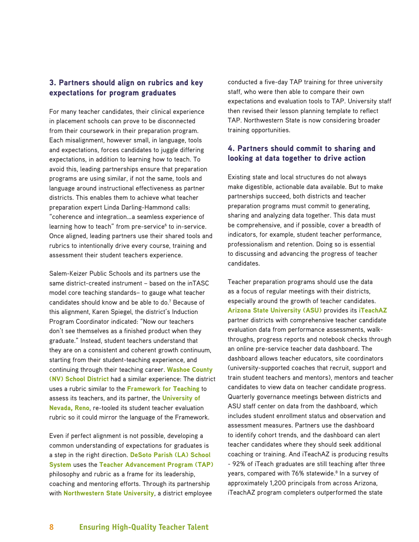# 3. Partners should align on rubrics and key expectations for program graduates

For many teacher candidates, their clinical experience in placement schools can prove to be disconnected from their coursework in their preparation program. Each misalignment, however small, in language, tools and expectations, forces candidates to juggle differing expectations, in addition to learning how to teach. To avoid this, leading partnerships ensure that preparation programs are using similar, if not the same, tools and language around instructional effectiveness as partner districts. This enables them to achieve what teacher preparation expert Linda Darling-Hammond calls: "coherence and integration…a seamless experience of learning how to teach" from pre-service<sup>6</sup> to in-service. Once aligned, leading partners use their shared tools and rubrics to intentionally drive every course, training and assessment their student teachers experience.

Salem-Keizer Public Schools and its partners use the same district-created instrument – based on the inTASC model core teaching standards– to gauge what teacher candidates should know and be able to do.<sup>7</sup> Because of this alignment, Karen Spiegel, the district's Induction Program Coordinator indicated: "Now our teachers don't see themselves as a finished product when they graduate." Instead, student teachers understand that they are on a consistent and coherent growth continuum, starting from their student-teaching experience, and continuing through their teaching career. [Washoe County](http://www.washoeschools.net/site/default.aspx?PageID=1)  [\(NV\) School District](http://www.washoeschools.net/site/default.aspx?PageID=1) had a similar experience: The district uses a rubric similar to the [Framework for Teaching](http://www.danielsongroup.org/framework/) to assess its teachers, and its partner, the University of [Nevada, Reno](http://www.unr.edu/), re-tooled its student teacher evaluation rubric so it could mirror the language of the Framework.

Even if perfect alignment is not possible, developing a common understanding of expectations for graduates is a step in the right direction. [DeSoto Parish \(LA\) School](http://www.desotopsb.com/)  [System](http://www.desotopsb.com/) uses the [Teacher Advancement Program \(TAP\)](https://www.tapsystem.org/) philosophy and rubric as a frame for its leadership, coaching and mentoring efforts. Through its partnership with **[Northwestern State University](https://www.nsula.edu/)**, a district employee

conducted a five-day TAP training for three university staff, who were then able to compare their own expectations and evaluation tools to TAP. University staff then revised their lesson planning template to reflect TAP. Northwestern State is now considering broader training opportunities.

# 4. Partners should commit to sharing and looking at data together to drive action

Existing state and local structures do not always make digestible, actionable data available. But to make partnerships succeed, both districts and teacher preparation programs must commit to generating, sharing and analyzing data together. This data must be comprehensive, and if possible, cover a breadth of indicators, for example, student teacher performance, professionalism and retention. Doing so is essential to discussing and advancing the progress of teacher candidates.

Teacher preparation programs should use the data as a focus of regular meetings with their districts, especially around the growth of teacher candidates. [Arizona State University \(ASU\)](http://www.asu.edu/) provides its [iTeachAZ](https://education.asu.edu/iteachaz) partner districts with comprehensive teacher candidate evaluation data from performance assessments, walkthroughs, progress reports and notebook checks through an online pre-service teacher data dashboard. The dashboard allows teacher educators, site coordinators (university-supported coaches that recruit, support and train student teachers and mentors), mentors and teacher candidates to view data on teacher candidate progress. Quarterly governance meetings between districts and ASU staff center on data from the dashboard, which includes student enrollment status and observation and assessment measures. Partners use the dashboard to identify cohort trends, and the dashboard can alert teacher candidates where they should seek additional coaching or training. And iTeachAZ is producing results - 92% of iTeach graduates are still teaching after three years, compared with 76% statewide.<sup>8</sup> In a survey of approximately 1,200 principals from across Arizona, iTeachAZ program completers outperformed the state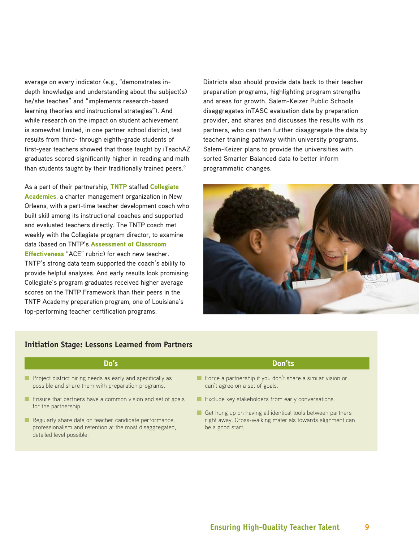average on every indicator (e.g., "demonstrates indepth knowledge and understanding about the subject(s) he/she teaches" and "implements research-based learning theories and instructional strategies"). And while research on the impact on student achievement is somewhat limited, in one partner school district, test results from third- through eighth-grade students of first-year teachers showed that those taught by iTeachAZ graduates scored significantly higher in reading and math than students taught by their traditionally trained peers.<sup>9</sup>

As a part of their partnership, [TNTP](http://tntp.org/) staffed Collegiate [Academies](http://collegiateacademies.org/), a charter management organization in New Orleans, with a part-time teacher development coach who built skill among its instructional coaches and supported and evaluated teachers directly. The TNTP coach met weekly with the Collegiate program director, to examine data (based on TNTP's [Assessment of Classroom](http://tntp.org/assets/documents/TNTP_ACE_Observation_Framework_2012.pdf)  [Effectiveness](http://tntp.org/assets/documents/TNTP_ACE_Observation_Framework_2012.pdf) "ACE" rubric) for each new teacher. TNTP's strong data team supported the coach's ability to provide helpful analyses. And early results look promising: Collegiate's program graduates received higher average scores on the TNTP Framework than their peers in the TNTP Academy preparation program, one of Louisiana's top-performing teacher certification programs.

Districts also should provide data back to their teacher preparation programs, highlighting program strengths and areas for growth. Salem-Keizer Public Schools disaggregates inTASC evaluation data by preparation provider, and shares and discusses the results with its partners, who can then further disaggregate the data by teacher training pathway within university programs. Salem-Keizer plans to provide the universities with sorted Smarter Balanced data to better inform programmatic changes.



# **Initiation Stage: Lessons Learned from Partners**

- Project district hiring needs as early and specifically as possible and share them with preparation programs.
- Ensure that partners have a common vision and set of goals for the partnership.
- Regularly share data on teacher candidate performance, professionalism and retention at the most disaggregated, detailed level possible.

# **Do's Don'ts**

- Force a partnership if you don't share a similar vision or can't agree on a set of goals.
- Exclude key stakeholders from early conversations.
- Get hung up on having all identical tools between partners right away. Cross-walking materials towards alignment can be a good start.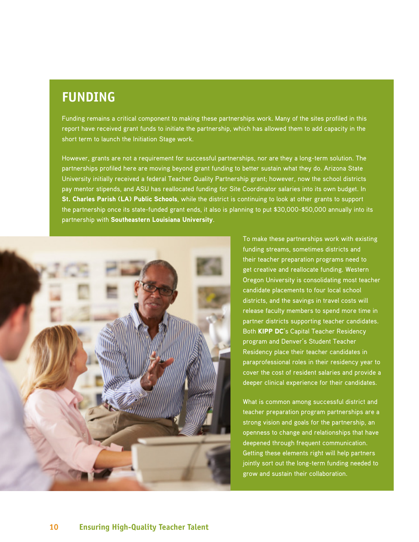# **FUNDING**

Funding remains a critical component to making these partnerships work. Many of the sites profiled in this report have received grant funds to initiate the partnership, which has allowed them to add capacity in the short term to launch the Initiation Stage work.

However, grants are not a requirement for successful partnerships, nor are they a long-term solution. The partnerships profiled here are moving beyond grant funding to better sustain what they do. Arizona State University initially received a federal Teacher Quality Partnership grant; however, now the school districts pay mentor stipends, and ASU has reallocated funding for Site Coordinator salaries into its own budget. In [St. Charles Parish \(LA\) Public Schools](http://www.stcharles.k12.la.us/site/default.aspx?PageID=1), while the district is continuing to look at other grants to support the partnership once its state-funded grant ends, it also is planning to put \$30,000-\$50,000 annually into its partnership with [Southeastern Louisiana University](http://www.southeastern.edu/).



To make these partnerships work with existing funding streams, sometimes districts and their teacher preparation programs need to get creative and reallocate funding. Western Oregon University is consolidating most teacher candidate placements to four local school districts, and the savings in travel costs will release faculty members to spend more time in partner districts supporting teacher candidates. Both [KIPP DC](http://www.kippdc.org/)'s Capital Teacher Residency program and Denver's Student Teacher Residency place their teacher candidates in paraprofessional roles in their residency year to cover the cost of resident salaries and provide a deeper clinical experience for their candidates.

What is common among successful district and teacher preparation program partnerships are a strong vision and goals for the partnership, an openness to change and relationships that have deepened through frequent communication. Getting these elements right will help partners jointly sort out the long-term funding needed to grow and sustain their collaboration.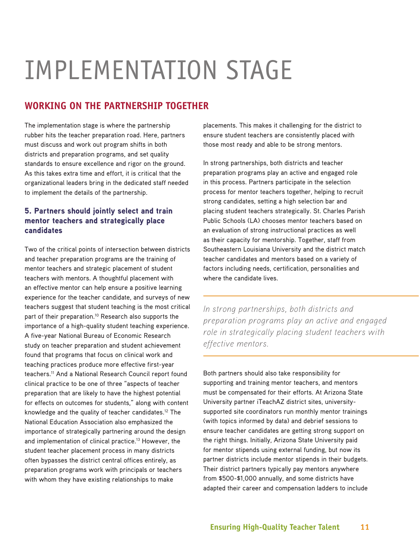# IMPLEMENTATION STAGE

# **WORKING ON THE PARTNERSHIP TOGETHER**

The implementation stage is where the partnership rubber hits the teacher preparation road. Here, partners must discuss and work out program shifts in both districts and preparation programs, and set quality standards to ensure excellence and rigor on the ground. As this takes extra time and effort, it is critical that the organizational leaders bring in the dedicated staff needed to implement the details of the partnership.

# 5. Partners should jointly select and train mentor teachers and strategically place candidates

Two of the critical points of intersection between districts and teacher preparation programs are the training of mentor teachers and strategic placement of student teachers with mentors. A thoughtful placement with an effective mentor can help ensure a positive learning experience for the teacher candidate, and surveys of new teachers suggest that student teaching is the most critical part of their preparation.<sup>10</sup> Research also supports the importance of a high-quality student teaching experience. A five-year National Bureau of Economic Research study on teacher preparation and student achievement found that programs that focus on clinical work and teaching practices produce more effective first-year teachers.<sup>11</sup> And a National Research Council report found clinical practice to be one of three "aspects of teacher preparation that are likely to have the highest potential for effects on outcomes for students," along with content knowledge and the quality of teacher candidates.12 The National Education Association also emphasized the importance of strategically partnering around the design and implementation of clinical practice.<sup>13</sup> However, the student teacher placement process in many districts often bypasses the district central offices entirely, as preparation programs work with principals or teachers with whom they have existing relationships to make

placements. This makes it challenging for the district to ensure student teachers are consistently placed with those most ready and able to be strong mentors.

In strong partnerships, both districts and teacher preparation programs play an active and engaged role in this process. Partners participate in the selection process for mentor teachers together, helping to recruit strong candidates, setting a high selection bar and placing student teachers strategically. St. Charles Parish Public Schools (LA) chooses mentor teachers based on an evaluation of strong instructional practices as well as their capacity for mentorship. Together, staff from Southeastern Louisiana University and the district match teacher candidates and mentors based on a variety of factors including needs, certification, personalities and where the candidate lives.

*In strong partnerships, both districts and preparation programs play an active and engaged role in strategically placing student teachers with effective mentors.*

Both partners should also take responsibility for supporting and training mentor teachers, and mentors must be compensated for their efforts. At Arizona State University partner iTeachAZ district sites, universitysupported site coordinators run monthly mentor trainings (with topics informed by data) and debrief sessions to ensure teacher candidates are getting strong support on the right things. Initially, Arizona State University paid for mentor stipends using external funding, but now its partner districts include mentor stipends in their budgets. Their district partners typically pay mentors anywhere from \$500-\$1,000 annually, and some districts have adapted their career and compensation ladders to include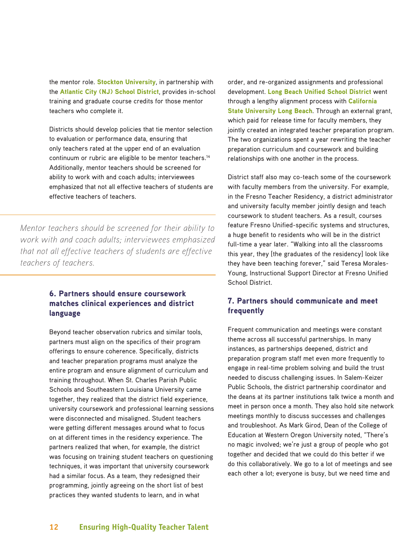the mentor role. [Stockton University](http://intraweb.stockton.edu/eyos/page.cfm?siteID=197&pageID=5&layout=hp), in partnership with the [Atlantic City \(NJ\) School District](http://www.acboe.org/), provides in-school training and graduate course credits for those mentor teachers who complete it.

Districts should develop policies that tie mentor selection to evaluation or performance data, ensuring that only teachers rated at the upper end of an evaluation continuum or rubric are eligible to be mentor teachers.<sup>14</sup> Additionally, mentor teachers should be screened for ability to work with and coach adults; interviewees emphasized that not all effective teachers of students are effective teachers of teachers.

*Mentor teachers should be screened for their ability to work with and coach adults; interviewees emphasized that not all effective teachers of students are effective teachers of teachers.*

# 6. Partners should ensure coursework matches clinical experiences and district language

Beyond teacher observation rubrics and similar tools, partners must align on the specifics of their program offerings to ensure coherence. Specifically, districts and teacher preparation programs must analyze the entire program and ensure alignment of curriculum and training throughout. When St. Charles Parish Public Schools and Southeastern Louisiana University came together, they realized that the district field experience, university coursework and professional learning sessions were disconnected and misaligned. Student teachers were getting different messages around what to focus on at different times in the residency experience. The partners realized that when, for example, the district was focusing on training student teachers on questioning techniques, it was important that university coursework had a similar focus. As a team, they redesigned their programming, jointly agreeing on the short list of best practices they wanted students to learn, and in what

order, and re-organized assignments and professional development. [Long Beach Unified School District](http://www.lbusd.k12.ca.us/) went through a lengthy alignment process with **California** [State University Long Beach](http://www.csulb.edu/). Through an external grant, which paid for release time for faculty members, they jointly created an integrated teacher preparation program. The two organizations spent a year rewriting the teacher preparation curriculum and coursework and building relationships with one another in the process.

District staff also may co-teach some of the coursework with faculty members from the university. For example, in the Fresno Teacher Residency, a district administrator and university faculty member jointly design and teach coursework to student teachers. As a result, courses feature Fresno Unified-specific systems and structures, a huge benefit to residents who will be in the district full-time a year later. "Walking into all the classrooms this year, they [the graduates of the residency] look like they have been teaching forever," said Teresa Morales-Young, Instructional Support Director at Fresno Unified School District.

# 7. Partners should communicate and meet frequently

Frequent communication and meetings were constant theme across all successful partnerships. In many instances, as partnerships deepened, district and preparation program staff met even more frequently to engage in real-time problem solving and build the trust needed to discuss challenging issues. In Salem-Keizer Public Schools, the district partnership coordinator and the deans at its partner institutions talk twice a month and meet in person once a month. They also hold site network meetings monthly to discuss successes and challenges and troubleshoot. As Mark Girod, Dean of the College of Education at Western Oregon University noted, "There's no magic involved; we're just a group of people who got together and decided that we could do this better if we do this collaboratively. We go to a lot of meetings and see each other a lot; everyone is busy, but we need time and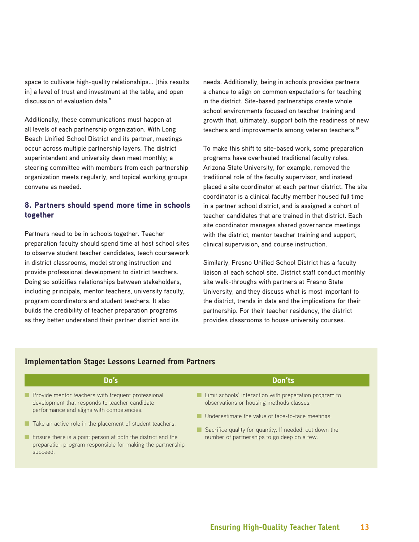space to cultivate high-quality relationships… [this results in] a level of trust and investment at the table, and open discussion of evaluation data."

Additionally, these communications must happen at all levels of each partnership organization. With Long Beach Unified School District and its partner, meetings occur across multiple partnership layers. The district superintendent and university dean meet monthly; a steering committee with members from each partnership organization meets regularly, and topical working groups convene as needed.

# 8. Partners should spend more time in schools together

Partners need to be in schools together. Teacher preparation faculty should spend time at host school sites to observe student teacher candidates, teach coursework in district classrooms, model strong instruction and provide professional development to district teachers. Doing so solidifies relationships between stakeholders, including principals, mentor teachers, university faculty, program coordinators and student teachers. It also builds the credibility of teacher preparation programs as they better understand their partner district and its

needs. Additionally, being in schools provides partners a chance to align on common expectations for teaching in the district. Site-based partnerships create whole school environments focused on teacher training and growth that, ultimately, support both the readiness of new teachers and improvements among veteran teachers.<sup>15</sup>

To make this shift to site-based work, some preparation programs have overhauled traditional faculty roles. Arizona State University, for example, removed the traditional role of the faculty supervisor, and instead placed a site coordinator at each partner district. The site coordinator is a clinical faculty member housed full time in a partner school district, and is assigned a cohort of teacher candidates that are trained in that district. Each site coordinator manages shared governance meetings with the district, mentor teacher training and support, clinical supervision, and course instruction.

Similarly, Fresno Unified School District has a faculty liaison at each school site. District staff conduct monthly site walk-throughs with partners at Fresno State University, and they discuss what is most important to the district, trends in data and the implications for their partnership. For their teacher residency, the district provides classrooms to house university courses.

| Do's                                                                                                                                                                                               | Don'ts                                                                                                                                                    |
|----------------------------------------------------------------------------------------------------------------------------------------------------------------------------------------------------|-----------------------------------------------------------------------------------------------------------------------------------------------------------|
| Provide mentor teachers with frequent professional<br>development that responds to teacher candidate<br>performance and aligns with competencies.                                                  | ■ Limit schools' interaction with preparation program to<br>observations or housing methods classes.<br>Underestimate the value of face-to-face meetings. |
| Take an active role in the placement of student teachers.<br>Ensure there is a point person at both the district and the<br>preparation program responsible for making the partnership<br>succeed. | Sacrifice quality for quantity. If needed, cut down the<br>number of partnerships to go deep on a few.                                                    |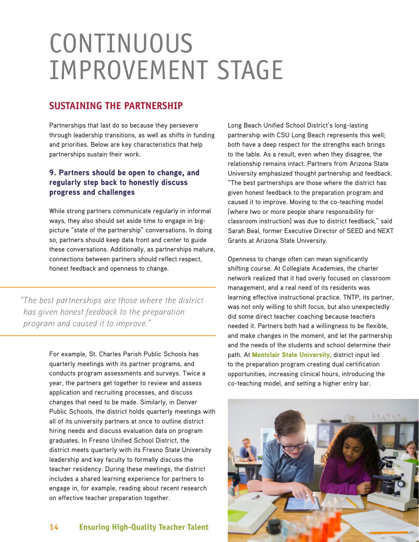# CONTINUOUS IMPROVEMENT STAGE

# **SUSTAINING THE PARTNERSHIP**

Partnerships that last do so because they persevere through leadership transitions, as well as shifts in funding and priorities. Below are key characteristics that help partnerships sustain their work.

# 9. Partners should be open to change, and regularly step back to honestly discuss progress and challenges

While strong partners communicate regularly in informal ways, they also should set aside time to engage in bigpicture "state of the partnership" conversations. In doing so, partners should keep data front and center to guide these conversations. Additionally, as partnerships mature, connections between partners should reflect respect, honest feedback and openness to change.

*"The best partnerships are those where the district has given honest feedback to the preparation program and caused it to improve."*

> For example, St. Charles Parish Public Schools has quarterly meetings with its partner programs, and conducts program assessments and surveys. Twice a year, the partners get together to review and assess application and recruiting processes, and discuss changes that need to be made. Similarly, in Denver Public Schools, the district holds quarterly meetings with all of its university partners at once to outline district hiring needs and discuss evaluation data on program graduates. In Fresno Unified School District, the district meets quarterly with its Fresno State University leadership and key faculty to formally discuss the teacher residency. During these meetings, the district includes a shared learning experience for partners to engage in, for example, reading about recent research on effective teacher preparation together.

**14 Ensuring High-Quality Teacher Talent**

Long Beach Unified School District's long-lasting partnership with CSU Long Beach represents this well; both have a deep respect for the strengths each brings to the table. As a result, even when they disagree, the relationship remains intact. Partners from Arizona State University emphasized thought partnership and feedback. "The best partnerships are those where the district has given honest feedback to the preparation program and caused it to improve. Moving to the co-teaching model [where two or more people share responsibility for classroom instruction] was due to district feedback," said Sarah Beal, former Executive Director of SEED and NEXT Grants at Arizona State University.

Openness to change often can mean significantly shifting course. At Collegiate Academies, the charter network realized that it had overly focused on classroom management, and a real need of its residents was learning effective instructional practice. TNTP, its partner, was not only willing to shift focus, but also unexpectedly did some direct teacher coaching because teachers needed it. Partners both had a willingness to be flexible, and make changes in the moment, and let the partnership and the needs of the students and school determine their path. At [Montclair State University](http://www.montclair.edu/), district input led to the preparation program creating dual certification opportunities, increasing clinical hours, introducing the co-teaching model, and setting a higher entry bar.

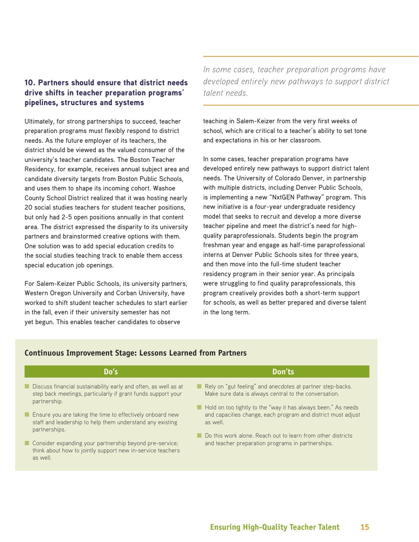# 10. Partners should ensure that district needs drive shifts in teacher preparation programs' pipelines, structures and systems

Ultimately, for strong partnerships to succeed, teacher preparation programs must flexibly respond to district needs. As the future employer of its teachers, the district should be viewed as the valued consumer of the university's teacher candidates. The Boston Teacher Residency, for example, receives annual subject area and candidate diversity targets from Boston Public Schools, and uses them to shape its incoming cohort. Washoe County School District realized that it was hosting nearly 20 social studies teachers for student teacher positions, but only had 2-5 open positions annually in that content area. The district expressed the disparity to its university partners and brainstormed creative options with them. One solution was to add special education credits to the social studies teaching track to enable them access special education job openings.

For Salem-Keizer Public Schools, its university partners, Western Oregon University and Corban University, have worked to shift student teacher schedules to start earlier in the fall, even if their university semester has not yet begun. This enables teacher candidates to observe

*In some cases, teacher preparation programs have developed entirely new pathways to support district talent needs.*

teaching in Salem-Keizer from the very first weeks of school, which are critical to a teacher's ability to set tone and expectations in his or her classroom.

In some cases, teacher preparation programs have developed entirely new pathways to support district talent needs. The University of Colorado Denver, in partnership with multiple districts, including Denver Public Schools, is implementing a new "NxtGEN Pathway" program. This new initiative is a four-year undergraduate residency model that seeks to recruit and develop a more diverse teacher pipeline and meet the district's need for highquality paraprofessionals. Students begin the program freshman year and engage as half-time paraprofessional interns at Denver Public Schools sites for three years, and then move into the full-time student teacher residency program in their senior year. As principals were struggling to find quality paraprofessionals, this program creatively provides both a short-term support for schools, as well as better prepared and diverse talent in the long term.

| Do's                                                                                                                                            | Don'ts                                                                                                                                    |
|-------------------------------------------------------------------------------------------------------------------------------------------------|-------------------------------------------------------------------------------------------------------------------------------------------|
| Discuss financial sustainability early and often, as well as at<br>step back meetings, particularly if grant funds support your<br>partnership. | Rely on "gut feeling" and anecdotes at partner step-backs.<br>Make sure data is always central to the conversation.                       |
| Ensure you are taking the time to effectively onboard new<br>staff and leadership to help them understand any existing<br>partnerships.         | Hold on too tightly to the "way it has always been." As needs<br>and capacities change, each program and district must adjust<br>as well. |
| Consider expanding your partnership beyond pre-service;<br>think about how to jointly support new in-service teachers<br>as well.               | Do this work alone. Reach out to learn from other districts<br>and teacher preparation programs in partnerships.                          |

# **Continuous Improvement Stage: Lessons Learned from Partners**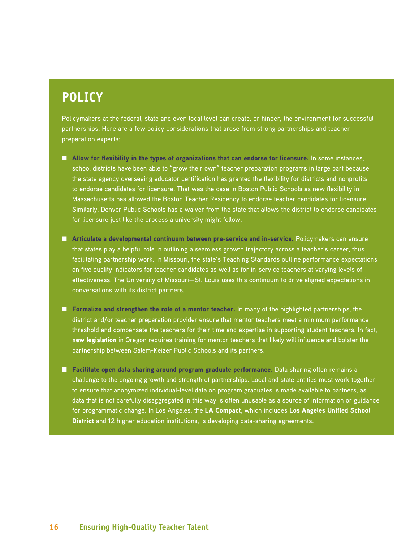# **POLICY**

Policymakers at the federal, state and even local level can create, or hinder, the environment for successful partnerships. Here are a few policy considerations that arose from strong partnerships and teacher preparation experts:

- Allow for flexibility in the types of organizations that can endorse for licensure. In some instances, school districts have been able to "grow their own" teacher preparation programs in large part because the state agency overseeing educator certification has granted the flexibility for districts and nonprofits to endorse candidates for licensure. That was the case in Boston Public Schools as new flexibility in Massachusetts has allowed the Boston Teacher Residency to endorse teacher candidates for licensure. Similarly, Denver Public Schools has a waiver from the state that allows the district to endorse candidates for licensure just like the process a university might follow.
- Articulate a developmental continuum between pre-service and in-service. Policymakers can ensure that states play a helpful role in outlining a seamless growth trajectory across a teacher's career, thus facilitating partnership work. In Missouri, the state's Teaching Standards outline performance expectations on five quality indicators for teacher candidates as well as for in-service teachers at varying levels of effectiveness. The University of Missouri—St. Louis uses this continuum to drive aligned expectations in conversations with its district partners.
- Formalize and strengthen the role of a mentor teacher. In many of the highlighted partnerships, the district and/or teacher preparation provider ensure that mentor teachers meet a minimum performance threshold and compensate the teachers for their time and expertise in supporting student teachers. In fact, [new legislation](http://chalkboardproject.org/wp-content/uploads/2015/03/CooperatingTeachers_SB83_Final.pdf) in Oregon requires training for mentor teachers that likely will influence and bolster the partnership between Salem-Keizer Public Schools and its partners.
- Facilitate open data sharing around program graduate performance. Data sharing often remains a challenge to the ongoing growth and strength of partnerships. Local and state entities must work together to ensure that anonymized individual-level data on program graduates is made available to partners, as data that is not carefully disaggregated in this way is often unusable as a source of information or guidance for programmatic change. In Los Angeles, the [LA Compact](http://compact-unitela.nationbuilder.com/), which includes [Los Angeles Unified School](http://home.lausd.net/)  [District](http://home.lausd.net/) and 12 higher education institutions, is developing data-sharing agreements.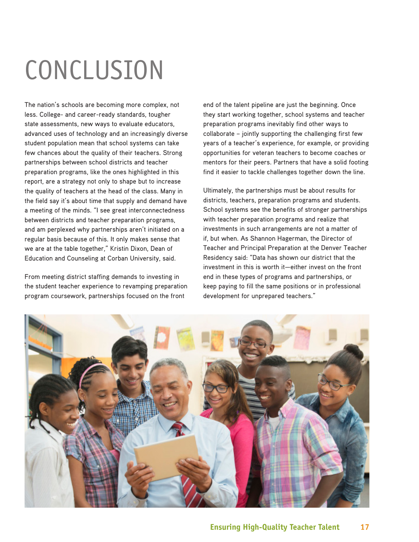# CONCLUSION

The nation's schools are becoming more complex, not less. College- and career-ready standards, tougher state assessments, new ways to evaluate educators, advanced uses of technology and an increasingly diverse student population mean that school systems can take few chances about the quality of their teachers. Strong partnerships between school districts and teacher preparation programs, like the ones highlighted in this report, are a strategy not only to shape but to increase the quality of teachers at the head of the class. Many in the field say it's about time that supply and demand have a meeting of the minds. "I see great interconnectedness between districts and teacher preparation programs, and am perplexed why partnerships aren't initiated on a regular basis because of this. It only makes sense that we are at the table together," Kristin Dixon, Dean of Education and Counseling at Corban University, said.

From meeting district staffing demands to investing in the student teacher experience to revamping preparation program coursework, partnerships focused on the front

end of the talent pipeline are just the beginning. Once they start working together, school systems and teacher preparation programs inevitably find other ways to collaborate – jointly supporting the challenging first few years of a teacher's experience, for example, or providing opportunities for veteran teachers to become coaches or mentors for their peers. Partners that have a solid footing find it easier to tackle challenges together down the line.

Ultimately, the partnerships must be about results for districts, teachers, preparation programs and students. School systems see the benefits of stronger partnerships with teacher preparation programs and realize that investments in such arrangements are not a matter of if, but when. As Shannon Hagerman, the Director of Teacher and Principal Preparation at the Denver Teacher Residency said: "Data has shown our district that the investment in this is worth it—either invest on the front end in these types of programs and partnerships, or keep paying to fill the same positions or in professional development for unprepared teachers."

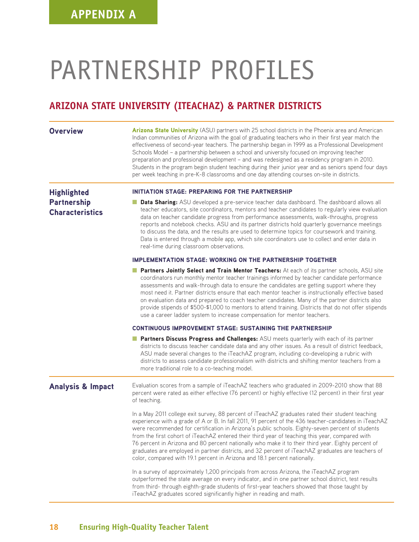# PARTNERSHIP PROFILES

# **ARIZONA STATE UNIVERSITY (ITEACHAZ) & PARTNER DISTRICTS**

| <b>Overview</b>                              | Arizona State University (ASU) partners with 25 school districts in the Phoenix area and American<br>Indian communities of Arizona with the goal of graduating teachers who in their first year match the<br>effectiveness of second-year teachers. The partnership began in 1999 as a Professional Development<br>Schools Model - a partnership between a school and university focused on improving teacher<br>preparation and professional development - and was redesigned as a residency program in 2010.<br>Students in the program begin student teaching during their junior year and as seniors spend four days<br>per week teaching in pre-K-8 classrooms and one day attending courses on-site in districts. |
|----------------------------------------------|-------------------------------------------------------------------------------------------------------------------------------------------------------------------------------------------------------------------------------------------------------------------------------------------------------------------------------------------------------------------------------------------------------------------------------------------------------------------------------------------------------------------------------------------------------------------------------------------------------------------------------------------------------------------------------------------------------------------------|
| <b>Highlighted</b>                           | <b>INITIATION STAGE: PREPARING FOR THE PARTNERSHIP</b>                                                                                                                                                                                                                                                                                                                                                                                                                                                                                                                                                                                                                                                                  |
| <b>Partnership</b><br><b>Characteristics</b> | Data Sharing: ASU developed a pre-service teacher data dashboard. The dashboard allows all<br>teacher educators, site coordinators, mentors and teacher candidates to regularly view evaluation<br>data on teacher candidate progress from performance assessments, walk-throughs, progress<br>reports and notebook checks. ASU and its partner districts hold quarterly governance meetings<br>to discuss the data, and the results are used to determine topics for coursework and training.<br>Data is entered through a mobile app, which site coordinators use to collect and enter data in<br>real-time during classroom observations.                                                                            |
|                                              | <b>IMPLEMENTATION STAGE: WORKING ON THE PARTNERSHIP TOGETHER</b>                                                                                                                                                                                                                                                                                                                                                                                                                                                                                                                                                                                                                                                        |
|                                              | Partners Jointly Select and Train Mentor Teachers: At each of its partner schools, ASU site<br>coordinators run monthly mentor teacher trainings informed by teacher candidate performance<br>assessments and walk-through data to ensure the candidates are getting support where they<br>most need it. Partner districts ensure that each mentor teacher is instructionally effective based<br>on evaluation data and prepared to coach teacher candidates. Many of the partner districts also<br>provide stipends of \$500-\$1,000 to mentors to attend training. Districts that do not offer stipends<br>use a career ladder system to increase compensation for mentor teachers.                                   |
|                                              | <b>CONTINUOUS IMPROVEMENT STAGE: SUSTAINING THE PARTNERSHIP</b>                                                                                                                                                                                                                                                                                                                                                                                                                                                                                                                                                                                                                                                         |
|                                              | Partners Discuss Progress and Challenges: ASU meets quarterly with each of its partner<br>districts to discuss teacher candidate data and any other issues. As a result of district feedback,<br>ASU made several changes to the iTeachAZ program, including co-developing a rubric with<br>districts to assess candidate professionalism with districts and shifting mentor teachers from a<br>more traditional role to a co-teaching model.                                                                                                                                                                                                                                                                           |
| <b>Analysis &amp; Impact</b>                 | Evaluation scores from a sample of iTeachAZ teachers who graduated in 2009-2010 show that 88<br>percent were rated as either effective (76 percent) or highly effective (12 percent) in their first year<br>of teaching.                                                                                                                                                                                                                                                                                                                                                                                                                                                                                                |
|                                              | In a May 2011 college exit survey, 88 percent of iTeachAZ graduates rated their student teaching<br>experience with a grade of A or B. In fall 2011, 91 percent of the 436 teacher-candidates in iTeachAZ<br>were recommended for certification in Arizona's public schools. Eighty-seven percent of students<br>from the first cohort of iTeachAZ entered their third year of teaching this year, compared with<br>76 percent in Arizona and 80 percent nationally who make it to their third year. Eighty percent of<br>graduates are employed in partner districts, and 32 percent of iTeachAZ graduates are teachers of<br>color, compared with 19.1 percent in Arizona and 18.1 percent nationally.                |
|                                              | In a survey of approximately 1,200 principals from across Arizona, the iTeachAZ program<br>outperformed the state average on every indicator, and in one partner school district, test results<br>from third- through eighth-grade students of first-year teachers showed that those taught by<br>iTeachAZ graduates scored significantly higher in reading and math.                                                                                                                                                                                                                                                                                                                                                   |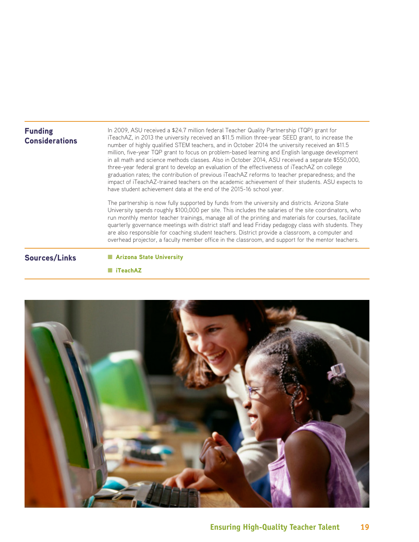# Funding **Considerations**

In 2009, ASU received a \$24.7 million federal Teacher Quality Partnership (TQP) grant for iTeachAZ, in 2013 the university received an \$11.5 million three-year SEED grant, to increase the number of highly qualified STEM teachers, and in October 2014 the university received an \$11.5 million, five-year TQP grant to focus on problem-based learning and English language development in all math and science methods classes. Also in October 2014, ASU received a separate \$550,000, three-year federal grant to develop an evaluation of the effectiveness of iTeachAZ on college graduation rates; the contribution of previous iTeachAZ reforms to teacher preparedness; and the impact of iTeachAZ-trained teachers on the academic achievement of their students. ASU expects to have student achievement data at the end of the 2015-16 school year.

The partnership is now fully supported by funds from the university and districts. Arizona State University spends roughly \$100,000 per site. This includes the salaries of the site coordinators, who run monthly mentor teacher trainings, manage all of the printing and materials for courses, facilitate quarterly governance meetings with district staff and lead Friday pedagogy class with students. They are also responsible for coaching student teachers. District provide a classroom, a computer and overhead projector, a faculty member office in the classroom, and support for the mentor teachers.

Sources/Links ■ [Arizona State University](http://www.asu.edu/)

## ■ [iTeachAZ](https://education.asu.edu/iteachaz)

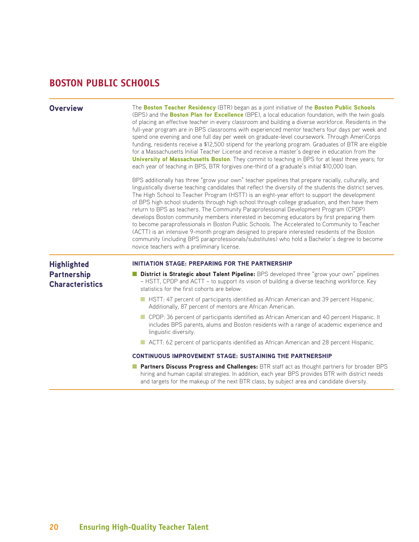# **BOSTON PUBLIC SCHOOLS**

| <b>Overview</b>                                                    | The Boston Teacher Residency (BTR) began as a joint initiative of the Boston Public Schools<br>(BPS) and the <b>Boston Plan for Excellence</b> (BPE), a local education foundation, with the twin goals<br>of placing an effective teacher in every classroom and building a diverse workforce. Residents in the<br>full-year program are in BPS classrooms with experienced mentor teachers four days per week and<br>spend one evening and one full day per week on graduate-level coursework. Through AmeriCorps<br>funding, residents receive a \$12,500 stipend for the yearlong program. Graduates of BTR are eligible<br>for a Massachusetts Initial Teacher License and receive a master's degree in education from the<br>University of Massachusetts Boston. They commit to teaching in BPS for at least three years; for<br>each year of teaching in BPS, BTR forgives one-third of a graduate's initial \$10,000 loan.<br>BPS additionally has three "grow your own" teacher pipelines that prepare racially, culturally, and<br>linguistically diverse teaching candidates that reflect the diversity of the students the district serves.<br>The High School to Teacher Program (HSTT) is an eight-year effort to support the development<br>of BPS high school students through high school through college graduation, and then have them<br>return to BPS as teachers. The Community Paraprofessional Development Program (CPDP)<br>develops Boston community members interested in becoming educators by first preparing them<br>to become paraprofessionals in Boston Public Schools. The Accelerated to Community to Teacher<br>(ACTT) is an intensive 9-month program designed to prepare interested residents of the Boston<br>community (including BPS paraprofessionals/substitutes) who hold a Bachelor's degree to become<br>novice teachers with a preliminary license. |
|--------------------------------------------------------------------|----------------------------------------------------------------------------------------------------------------------------------------------------------------------------------------------------------------------------------------------------------------------------------------------------------------------------------------------------------------------------------------------------------------------------------------------------------------------------------------------------------------------------------------------------------------------------------------------------------------------------------------------------------------------------------------------------------------------------------------------------------------------------------------------------------------------------------------------------------------------------------------------------------------------------------------------------------------------------------------------------------------------------------------------------------------------------------------------------------------------------------------------------------------------------------------------------------------------------------------------------------------------------------------------------------------------------------------------------------------------------------------------------------------------------------------------------------------------------------------------------------------------------------------------------------------------------------------------------------------------------------------------------------------------------------------------------------------------------------------------------------------------------------------------------------------------------------------------------------------------------------------------------|
| <b>Highlighted</b><br><b>Partnership</b><br><b>Characteristics</b> | <b>INITIATION STAGE: PREPARING FOR THE PARTNERSHIP</b><br><b>District is Strategic about Talent Pipeline:</b> BPS developed three "grow your own" pipelines<br>- HSTT, CPDP and ACTT - to support its vision of building a diverse teaching workforce. Key<br>statistics for the first cohorts are below:                                                                                                                                                                                                                                                                                                                                                                                                                                                                                                                                                                                                                                                                                                                                                                                                                                                                                                                                                                                                                                                                                                                                                                                                                                                                                                                                                                                                                                                                                                                                                                                          |
|                                                                    | HSTT: 47 percent of participants identified as African American and 39 percent Hispanic.<br>Additionally, 87 percent of mentors are African American.<br>CPDP: 36 percent of participants identified as African American and 40 percent Hispanic. It                                                                                                                                                                                                                                                                                                                                                                                                                                                                                                                                                                                                                                                                                                                                                                                                                                                                                                                                                                                                                                                                                                                                                                                                                                                                                                                                                                                                                                                                                                                                                                                                                                               |
|                                                                    | includes BPS parents, alums and Boston residents with a range of academic experience and<br>linguistic diversity.<br>ACTT: 62 percent of participants identified as African American and 28 percent Hispanic.                                                                                                                                                                                                                                                                                                                                                                                                                                                                                                                                                                                                                                                                                                                                                                                                                                                                                                                                                                                                                                                                                                                                                                                                                                                                                                                                                                                                                                                                                                                                                                                                                                                                                      |
|                                                                    | <b>CONTINUOUS IMPROVEMENT STAGE: SUSTAINING THE PARTNERSHIP</b>                                                                                                                                                                                                                                                                                                                                                                                                                                                                                                                                                                                                                                                                                                                                                                                                                                                                                                                                                                                                                                                                                                                                                                                                                                                                                                                                                                                                                                                                                                                                                                                                                                                                                                                                                                                                                                    |
|                                                                    | <b>Partners Discuss Progress and Challenges:</b> BTR staff act as thought partners for broader BPS<br>hiring and human capital strategies. In addition, each year BPS provides BTR with district needs<br>and targets for the makeup of the next BTR class, by subject area and candidate diversity.                                                                                                                                                                                                                                                                                                                                                                                                                                                                                                                                                                                                                                                                                                                                                                                                                                                                                                                                                                                                                                                                                                                                                                                                                                                                                                                                                                                                                                                                                                                                                                                               |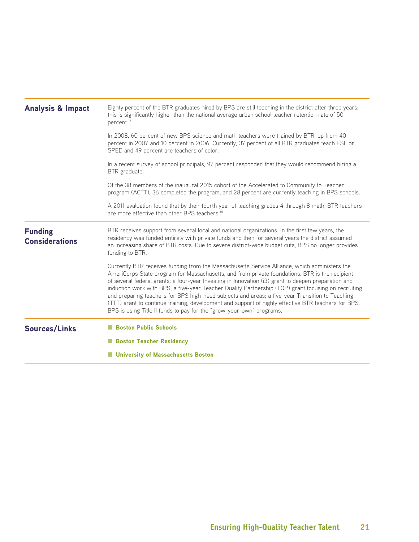| <b>Analysis &amp; Impact</b>            | Eighty percent of the BTR graduates hired by BPS are still teaching in the district after three years;<br>this is significantly higher than the national average urban school teacher retention rate of 50<br>percent. <sup>17</sup>                                                                                                                                                                                                                                                                                                                                                                                                                                                            |
|-----------------------------------------|-------------------------------------------------------------------------------------------------------------------------------------------------------------------------------------------------------------------------------------------------------------------------------------------------------------------------------------------------------------------------------------------------------------------------------------------------------------------------------------------------------------------------------------------------------------------------------------------------------------------------------------------------------------------------------------------------|
|                                         | In 2008, 60 percent of new BPS science and math teachers were trained by BTR, up from 40<br>percent in 2007 and 10 percent in 2006. Currently, 37 percent of all BTR graduates teach ESL or<br>SPED and 49 percent are teachers of color.                                                                                                                                                                                                                                                                                                                                                                                                                                                       |
|                                         | In a recent survey of school principals, 97 percent responded that they would recommend hiring a<br>BTR graduate.                                                                                                                                                                                                                                                                                                                                                                                                                                                                                                                                                                               |
|                                         | Of the 38 members of the inaugural 2015 cohort of the Accelerated to Community to Teacher<br>program (ACTT), 36 completed the program, and 28 percent are currently teaching in BPS schools.                                                                                                                                                                                                                                                                                                                                                                                                                                                                                                    |
|                                         | A 2011 evaluation found that by their fourth year of teaching grades 4 through 8 math, BTR teachers<br>are more effective than other BPS teachers. <sup>18</sup>                                                                                                                                                                                                                                                                                                                                                                                                                                                                                                                                |
| <b>Funding</b><br><b>Considerations</b> | BTR receives support from several local and national organizations. In the first few years, the<br>residency was funded entirely with private funds and then for several years the district assumed<br>an increasing share of BTR costs. Due to severe district-wide budget cuts, BPS no longer provides<br>funding to BTR.                                                                                                                                                                                                                                                                                                                                                                     |
|                                         | Currently BTR receives funding from the Massachusetts Service Alliance, which administers the<br>AmeriCorps State program for Massachusetts, and from private foundations. BTR is the recipient<br>of several federal grants: a four-year Investing in Innovation (i3) grant to deepen preparation and<br>induction work with BPS; a five-year Teacher Quality Partnership (TQP) grant focusing on recruiting<br>and preparing teachers for BPS high-need subjects and areas; a five-year Transition to Teaching<br>(TTT) grant to continue training, development and support of highly effective BTR teachers for BPS.<br>BPS is using Title II funds to pay for the "grow-your-own" programs. |
| <b>Sources/Links</b>                    | <b>Boston Public Schools</b>                                                                                                                                                                                                                                                                                                                                                                                                                                                                                                                                                                                                                                                                    |
|                                         | <b>Boston Teacher Residency</b>                                                                                                                                                                                                                                                                                                                                                                                                                                                                                                                                                                                                                                                                 |
|                                         | <b>University of Massachusetts Boston</b>                                                                                                                                                                                                                                                                                                                                                                                                                                                                                                                                                                                                                                                       |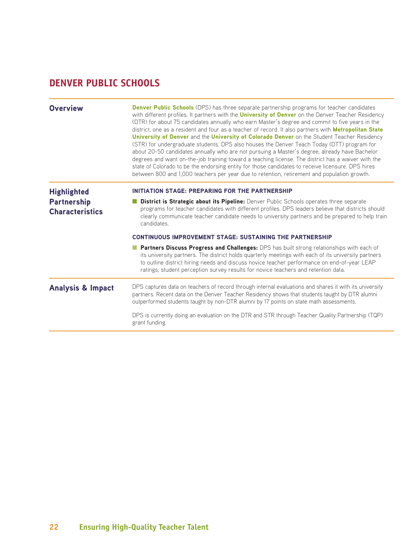# **DENVER PUBLIC SCHOOLS**

| Overview                                                           | <b>Denver Public Schools</b> (DPS) has three separate partnership programs for teacher candidates<br>with different profiles. It partners with the <i>University of Denver</i> on the Denver Teacher Residency<br>(DTR) for about 75 candidates annually who earn Master's degree and commit to five years in the<br>district, one as a resident and four as a teacher of record. It also partners with <b>Metropolitan State</b><br>University of Denver and the University of Colorado Denver on the Student Teacher Residency<br>(STR) for undergraduate students. DPS also houses the Denver Teach Today (DTT) program for<br>about 20-50 candidates annually who are not pursuing a Master's degree, already have Bachelor<br>degrees and want on-the-job training toward a teaching license. The district has a waiver with the<br>state of Colorado to be the endorsing entity for those candidates to receive licensure. DPS hires<br>between 800 and 1,000 teachers per year due to retention, retirement and population growth. |
|--------------------------------------------------------------------|-------------------------------------------------------------------------------------------------------------------------------------------------------------------------------------------------------------------------------------------------------------------------------------------------------------------------------------------------------------------------------------------------------------------------------------------------------------------------------------------------------------------------------------------------------------------------------------------------------------------------------------------------------------------------------------------------------------------------------------------------------------------------------------------------------------------------------------------------------------------------------------------------------------------------------------------------------------------------------------------------------------------------------------------|
| <b>Highlighted</b><br><b>Partnership</b><br><b>Characteristics</b> | <b>INITIATION STAGE: PREPARING FOR THE PARTNERSHIP</b><br>District is Strategic about its Pipeline: Denver Public Schools operates three separate<br>programs for teacher candidates with different profiles. DPS leaders believe that districts should<br>clearly communicate teacher candidate needs to university partners and be prepared to help train<br>candidates.                                                                                                                                                                                                                                                                                                                                                                                                                                                                                                                                                                                                                                                                |
|                                                                    | <b>CONTINUOUS IMPROVEMENT STAGE: SUSTAINING THE PARTNERSHIP</b>                                                                                                                                                                                                                                                                                                                                                                                                                                                                                                                                                                                                                                                                                                                                                                                                                                                                                                                                                                           |
|                                                                    | <b>Partners Discuss Progress and Challenges:</b> DPS has built strong relationships with each of<br>its university partners. The district holds quarterly meetings with each of its university partners<br>to outline district hiring needs and discuss novice teacher performance on end-of-year LEAP<br>ratings, student perception survey results for novice teachers and retention data.                                                                                                                                                                                                                                                                                                                                                                                                                                                                                                                                                                                                                                              |
| <b>Analysis &amp; Impact</b>                                       | DPS captures data on teachers of record through internal evaluations and shares it with its university<br>partners. Recent data on the Denver Teacher Residency shows that students taught by DTR alumni<br>outperformed students taught by non-DTR alumni by 17 points on state math assessments.                                                                                                                                                                                                                                                                                                                                                                                                                                                                                                                                                                                                                                                                                                                                        |
|                                                                    | DPS is currently doing an evaluation on the DTR and STR through Teacher Quality Partnership (TQP)<br>grant funding.                                                                                                                                                                                                                                                                                                                                                                                                                                                                                                                                                                                                                                                                                                                                                                                                                                                                                                                       |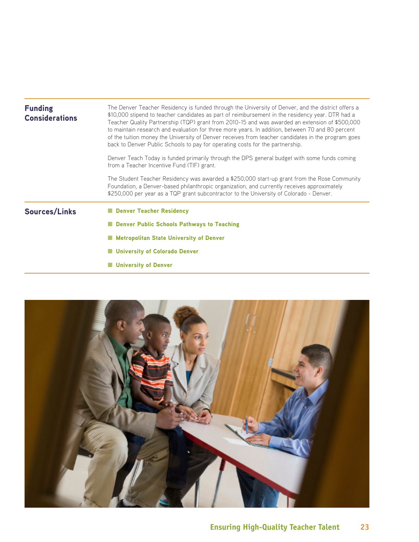| <b>Funding</b><br><b>Considerations</b> | The Denver Teacher Residency is funded through the University of Denver, and the district offers a<br>\$10,000 stipend to teacher candidates as part of reimbursement in the residency year. DTR had a<br>Teacher Quality Partnership (TQP) grant from 2010-15 and was awarded an extension of \$500,000<br>to maintain research and evaluation for three more years. In addition, between 70 and 80 percent<br>of the tuition money the University of Denver receives from teacher candidates in the program goes<br>back to Denver Public Schools to pay for operating costs for the partnership.<br>Denver Teach Today is funded primarily through the DPS general budget with some funds coming<br>from a Teacher Incentive Fund (TIF) grant. |
|-----------------------------------------|---------------------------------------------------------------------------------------------------------------------------------------------------------------------------------------------------------------------------------------------------------------------------------------------------------------------------------------------------------------------------------------------------------------------------------------------------------------------------------------------------------------------------------------------------------------------------------------------------------------------------------------------------------------------------------------------------------------------------------------------------|
|                                         | The Student Teacher Residency was awarded a \$250,000 start-up grant from the Rose Community<br>Foundation, a Denver-based philanthropic organization, and currently receives approximately<br>\$250,000 per year as a TQP grant subcontractor to the University of Colorado - Denver.                                                                                                                                                                                                                                                                                                                                                                                                                                                            |
| <b>Sources/Links</b>                    | Denver Teacher Residency                                                                                                                                                                                                                                                                                                                                                                                                                                                                                                                                                                                                                                                                                                                          |
|                                         | Denver Public Schools Pathways to Teaching                                                                                                                                                                                                                                                                                                                                                                                                                                                                                                                                                                                                                                                                                                        |
|                                         | <b>Metropolitan State University of Denver</b>                                                                                                                                                                                                                                                                                                                                                                                                                                                                                                                                                                                                                                                                                                    |
|                                         | <b>University of Colorado Denver</b>                                                                                                                                                                                                                                                                                                                                                                                                                                                                                                                                                                                                                                                                                                              |
|                                         | <b>University of Denver</b>                                                                                                                                                                                                                                                                                                                                                                                                                                                                                                                                                                                                                                                                                                                       |

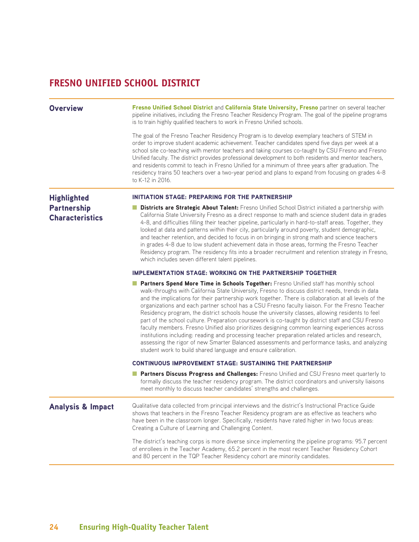# **FRESNO UNIFIED SCHOOL DISTRICT**

Overview [Fresno Unified School District](http://www.fresnounified.org/Pages/Default.aspx) and [California State University, Fresno](http://www.fresnostate.edu/) partner on several teacher pipeline initiatives, including the Fresno Teacher Residency Program. The goal of the pipeline programs is to train highly qualified teachers to work in Fresno Unified schools.

> The goal of the Fresno Teacher Residency Program is to develop exemplary teachers of STEM in order to improve student academic achievement. Teacher candidates spend five days per week at a school site co-teaching with mentor teachers and taking courses co-taught by CSU Fresno and Fresno Unified faculty. The district provides professional development to both residents and mentor teachers, and residents commit to teach in Fresno Unified for a minimum of three years after graduation. The residency trains 50 teachers over a two-year period and plans to expand from focusing on grades 4-8 to K-12 in 2016.

# **Highlighted Partnership Characteristics**

## INITIATION STAGE: PREPARING FOR THE PARTNERSHIP

■ Districts are Strategic About Talent: Fresno Unified School District initiated a partnership with California State University Fresno as a direct response to math and science student data in grades 4-8, and difficulties filling their teacher pipeline, particularly in hard-to-staff areas. Together, they looked at data and patterns within their city, particularly around poverty, student demographic, and teacher retention, and decided to focus in on bringing in strong math and science teachers in grades 4-8 due to low student achievement data in those areas, forming the Fresno Teacher Residency program. The residency fits into a broader recruitment and retention strategy in Fresno, which includes seven different talent pipelines.

## IMPLEMENTATION STAGE: WORKING ON THE PARTNERSHIP TOGETHER

■ Partners Spend More Time in Schools Together: Fresno Unified staff has monthly school walk-throughs with California State University, Fresno to discuss district needs, trends in data and the implications for their partnership work together. There is collaboration at all levels of the organizations and each partner school has a CSU Fresno faculty liaison. For the Fresno Teacher Residency program, the district schools house the university classes, allowing residents to feel part of the school culture. Preparation coursework is co-taught by district staff and CSU Fresno faculty members. Fresno Unified also prioritizes designing common learning experiences across institutions including: reading and processing teacher preparation related articles and research, assessing the rigor of new Smarter Balanced assessments and performance tasks, and analyzing student work to build shared language and ensure calibration.

## CONTINUOUS IMPROVEMENT STAGE: SUSTAINING THE PARTNERSHIP

■ Partners Discuss Progress and Challenges: Fresno Unified and CSU Fresno meet quarterly to formally discuss the teacher residency program. The district coordinators and university liaisons meet monthly to discuss teacher candidates' strengths and challenges.

Analysis & Impact Qualitative data collected from principal interviews and the district's Instructional Practice Guide shows that teachers in the Fresno Teacher Residency program are as effective as teachers who have been in the classroom longer. Specifically, residents have rated higher in two focus areas: Creating a Culture of Learning and Challenging Content.

> The district's teaching corps is more diverse since implementing the pipeline programs: 95.7 percent of enrollees in the Teacher Academy, 65.2 percent in the most recent Teacher Residency Cohort and 80 percent in the TQP Teacher Residency cohort are minority candidates.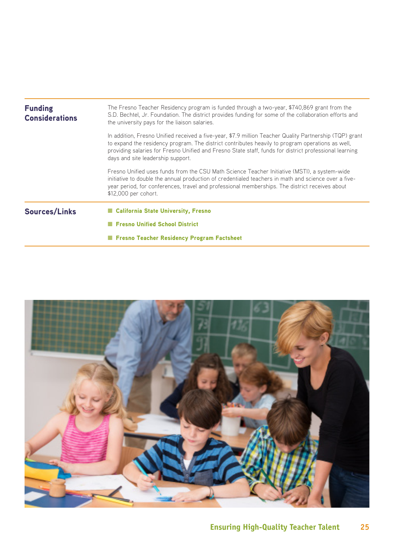| <b>Funding</b><br><b>Considerations</b> | The Fresno Teacher Residency program is funded through a two-year, \$740,869 grant from the<br>S.D. Bechtel, Jr. Foundation. The district provides funding for some of the collaboration efforts and<br>the university pays for the liaison salaries.                                                                                                      |
|-----------------------------------------|------------------------------------------------------------------------------------------------------------------------------------------------------------------------------------------------------------------------------------------------------------------------------------------------------------------------------------------------------------|
|                                         | In addition, Fresno Unified received a five-year, \$7.9 million Teacher Quality Partnership (TQP) grant<br>to expand the residency program. The district contributes heavily to program operations as well,<br>providing salaries for Fresno Unified and Fresno State staff, funds for district professional learning<br>days and site leadership support. |
|                                         | Fresno Unified uses funds from the CSU Math Science Teacher Initiative (MSTI), a system-wide<br>initiative to double the annual production of credentialed teachers in math and science over a five-<br>year period, for conferences, travel and professional memberships. The district receives about<br>\$12,000 per cohort.                             |
| <b>Sources/Links</b>                    | ■ California State University, Fresno                                                                                                                                                                                                                                                                                                                      |
|                                         | <b>Fresno Unified School District</b>                                                                                                                                                                                                                                                                                                                      |
|                                         | Fresno Teacher Residency Program Factsheet                                                                                                                                                                                                                                                                                                                 |

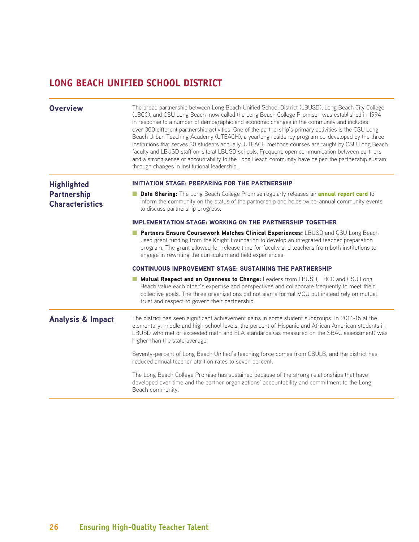# **LONG BEACH UNIFIED SCHOOL DISTRICT**

| <b>Overview</b>                          | The broad partnership between Long Beach Unified School District (LBUSD), Long Beach City College<br>(LBCC), and CSU Long Beach-now called the Long Beach College Promise -was established in 1994<br>in response to a number of demographic and economic changes in the community and includes<br>over 300 different partnership activities. One of the partnership's primary activities is the CSU Long<br>Beach Urban Teaching Academy (UTEACH), a yearlong residency program co-developed by the three<br>institutions that serves 30 students annually. UTEACH methods courses are taught by CSU Long Beach<br>faculty and LBUSD staff on-site at LBUSD schools. Frequent, open communication between partners<br>and a strong sense of accountability to the Long Beach community have helped the partnership sustain<br>through changes in institutional leadership. |
|------------------------------------------|-----------------------------------------------------------------------------------------------------------------------------------------------------------------------------------------------------------------------------------------------------------------------------------------------------------------------------------------------------------------------------------------------------------------------------------------------------------------------------------------------------------------------------------------------------------------------------------------------------------------------------------------------------------------------------------------------------------------------------------------------------------------------------------------------------------------------------------------------------------------------------|
| <b>Highlighted</b><br><b>Partnership</b> | <b>INITIATION STAGE: PREPARING FOR THE PARTNERSHIP</b><br><b>Data Sharing:</b> The Long Beach College Promise regularly releases an <b>annual report card</b> to                                                                                                                                                                                                                                                                                                                                                                                                                                                                                                                                                                                                                                                                                                            |
| <b>Characteristics</b>                   | inform the community on the status of the partnership and holds twice-annual community events<br>to discuss partnership progress.                                                                                                                                                                                                                                                                                                                                                                                                                                                                                                                                                                                                                                                                                                                                           |
|                                          | <b>IMPLEMENTATION STAGE: WORKING ON THE PARTNERSHIP TOGETHER</b>                                                                                                                                                                                                                                                                                                                                                                                                                                                                                                                                                                                                                                                                                                                                                                                                            |
|                                          | Partners Ensure Coursework Matches Clinical Experiences: LBUSD and CSU Long Beach<br>used grant funding from the Knight Foundation to develop an integrated teacher preparation<br>program. The grant allowed for release time for faculty and teachers from both institutions to<br>engage in rewriting the curriculum and field experiences.                                                                                                                                                                                                                                                                                                                                                                                                                                                                                                                              |
|                                          | <b>CONTINUOUS IMPROVEMENT STAGE: SUSTAINING THE PARTNERSHIP</b>                                                                                                                                                                                                                                                                                                                                                                                                                                                                                                                                                                                                                                                                                                                                                                                                             |
|                                          | Mutual Respect and an Openness to Change: Leaders from LBUSD, LBCC and CSU Long<br>Beach value each other's expertise and perspectives and collaborate frequently to meet their<br>collective goals. The three organizations did not sign a formal MOU but instead rely on mutual<br>trust and respect to govern their partnership.                                                                                                                                                                                                                                                                                                                                                                                                                                                                                                                                         |
| <b>Analysis &amp; Impact</b>             | The district has seen significant achievement gains in some student subgroups. In 2014-15 at the<br>elementary, middle and high school levels, the percent of Hispanic and African American students in<br>LBUSD who met or exceeded math and ELA standards (as measured on the SBAC assessment) was<br>higher than the state average.                                                                                                                                                                                                                                                                                                                                                                                                                                                                                                                                      |
|                                          | Seventy-percent of Long Beach Unified's teaching force comes from CSULB, and the district has<br>reduced annual teacher attrition rates to seven percent.                                                                                                                                                                                                                                                                                                                                                                                                                                                                                                                                                                                                                                                                                                                   |
|                                          | The Long Beach College Promise has sustained because of the strong relationships that have<br>developed over time and the partner organizations' accountability and commitment to the Long<br>Beach community.                                                                                                                                                                                                                                                                                                                                                                                                                                                                                                                                                                                                                                                              |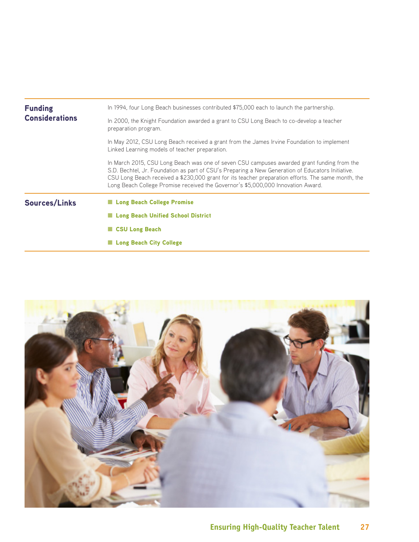| <b>Funding</b>        | In 1994, four Long Beach businesses contributed \$75,000 each to launch the partnership.                                                                                                                                                                                                                                                                                                  |
|-----------------------|-------------------------------------------------------------------------------------------------------------------------------------------------------------------------------------------------------------------------------------------------------------------------------------------------------------------------------------------------------------------------------------------|
| <b>Considerations</b> | In 2000, the Knight Foundation awarded a grant to CSU Long Beach to co-develop a teacher<br>preparation program.                                                                                                                                                                                                                                                                          |
|                       | In May 2012, CSU Long Beach received a grant from the James Irvine Foundation to implement<br>Linked Learning models of teacher preparation.                                                                                                                                                                                                                                              |
|                       | In March 2015, CSU Long Beach was one of seven CSU campuses awarded grant funding from the<br>S.D. Bechtel, Jr. Foundation as part of CSU's Preparing a New Generation of Educators Initiative.<br>CSU Long Beach received a \$230,000 grant for its teacher preparation efforts. The same month, the<br>Long Beach College Promise received the Governor's \$5,000,000 Innovation Award. |
| <b>Sources/Links</b>  | Long Beach College Promise                                                                                                                                                                                                                                                                                                                                                                |
|                       | Long Beach Unified School District                                                                                                                                                                                                                                                                                                                                                        |
|                       | ■ CSU Long Beach                                                                                                                                                                                                                                                                                                                                                                          |
|                       | ■ Long Beach City College                                                                                                                                                                                                                                                                                                                                                                 |

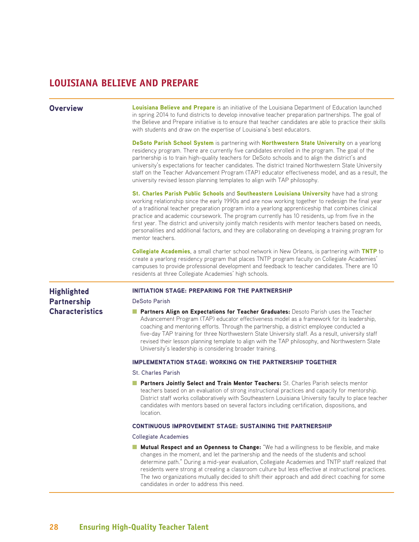# **LOUISIANA BELIEVE AND PREPARE**

**Overview [Louisiana Believe and Prepare](http://www.louisianabelieves.com/teaching/believe-and-prepare)** is an initiative of the Louisiana Department of Education launched in spring 2014 to fund districts to develop innovative teacher preparation partnerships. The goal of the Believe and Prepare initiative is to ensure that teacher candidates are able to practice their skills with students and draw on the expertise of Louisiana's best educators.

> [DeSoto Parish School System](http://www.desotopsb.com/) is partnering with [Northwestern State University](https://www.nsula.edu/) on a yearlong residency program. There are currently five candidates enrolled in the program. The goal of the partnership is to train high-quality teachers for DeSoto schools and to align the district's and university's expectations for teacher candidates. The district trained Northwestern State University staff on the Teacher Advancement Program (TAP) educator effectiveness model, and as a result, the university revised lesson planning templates to align with TAP philosophy.

[St. Charles Parish Public Schools](http://www.stcharles.k12.la.us/site/default.aspx?PageID=1) and [Southeastern Louisiana University](http://www.southeastern.edu/) have had a strong working relationship since the early 1990s and are now working together to redesign the final year of a traditional teacher preparation program into a yearlong apprenticeship that combines clinical practice and academic coursework. The program currently has 10 residents, up from five in the first year. The district and university jointly match residents with mentor teachers based on needs, personalities and additional factors, and they are collaborating on developing a training program for mentor teachers.

[Collegiate Academies](http://collegiateacademies.org/), a small charter school network in New Orleans, is partnering with [TNTP](http://tntp.org/) to create a yearlong residency program that places TNTP program faculty on Collegiate Academies' campuses to provide professional development and feedback to teacher candidates. There are 10 residents at three Collegiate Academies' high schools.

# **Highlighted Partnership Characteristics**

## INITIATION STAGE: PREPARING FOR THE PARTNERSHIP

DeSoto Parish

■ Partners Align on Expectations for Teacher Graduates: Desoto Parish uses the Teacher Advancement Program (TAP) educator effectiveness model as a framework for its leadership, coaching and mentoring efforts. Through the partnership, a district employee conducted a five-day TAP training for three Northwestern State University staff. As a result, university staff revised their lesson planning template to align with the TAP philosophy, and Northwestern State University's leadership is considering broader training.

# IMPLEMENTATION STAGE: WORKING ON THE PARTNERSHIP TOGETHER

St. Charles Parish

■ Partners Jointly Select and Train Mentor Teachers: St. Charles Parish selects mentor teachers based on an evaluation of strong instructional practices and capacity for mentorship. District staff works collaboratively with Southeastern Louisiana University faculty to place teacher candidates with mentors based on several factors including certification, dispositions, and location.

## CONTINUOUS IMPROVEMENT STAGE: SUSTAINING THE PARTNERSHIP

## Collegiate Academies

■ Mutual Respect and an Openness to Change: "We had a willingness to be flexible, and make changes in the moment, and let the partnership and the needs of the students and school determine path." During a mid-year evaluation, Collegiate Academies and TNTP staff realized that residents were strong at creating a classroom culture but less effective at instructional practices. The two organizations mutually decided to shift their approach and add direct coaching for some candidates in order to address this need.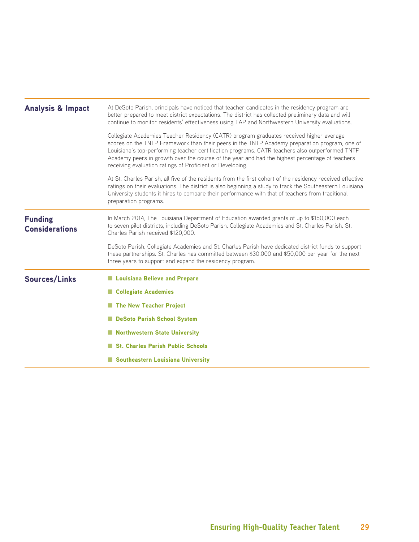| <b>Analysis &amp; Impact</b>            | At DeSoto Parish, principals have noticed that teacher candidates in the residency program are<br>better prepared to meet district expectations. The district has collected preliminary data and will<br>continue to monitor residents' effectiveness using TAP and Northwestern University evaluations.                                                                                                                                                   |
|-----------------------------------------|------------------------------------------------------------------------------------------------------------------------------------------------------------------------------------------------------------------------------------------------------------------------------------------------------------------------------------------------------------------------------------------------------------------------------------------------------------|
|                                         | Collegiate Academies Teacher Residency (CATR) program graduates received higher average<br>scores on the TNTP Framework than their peers in the TNTP Academy preparation program, one of<br>Louisiana's top-performing teacher certification programs. CATR teachers also outperformed TNTP<br>Academy peers in growth over the course of the year and had the highest percentage of teachers<br>receiving evaluation ratings of Proficient or Developing. |
|                                         | At St. Charles Parish, all five of the residents from the first cohort of the residency received effective<br>ratings on their evaluations. The district is also beginning a study to track the Southeastern Louisiana<br>University students it hires to compare their performance with that of teachers from traditional<br>preparation programs.                                                                                                        |
| <b>Funding</b><br><b>Considerations</b> | In March 2014, The Louisiana Department of Education awarded grants of up to \$150,000 each<br>to seven pilot districts, including DeSoto Parish, Collegiate Academies and St. Charles Parish. St.<br>Charles Parish received \$120,000.                                                                                                                                                                                                                   |
|                                         | DeSoto Parish, Collegiate Academies and St. Charles Parish have dedicated district funds to support<br>these partnerships. St. Charles has committed between \$30,000 and \$50,000 per year for the next<br>three years to support and expand the residency program.                                                                                                                                                                                       |
| <b>Sources/Links</b>                    | Louisiana Believe and Prepare                                                                                                                                                                                                                                                                                                                                                                                                                              |
|                                         | Collegiate Academies                                                                                                                                                                                                                                                                                                                                                                                                                                       |
|                                         | The New Teacher Project                                                                                                                                                                                                                                                                                                                                                                                                                                    |
|                                         | DeSoto Parish School System                                                                                                                                                                                                                                                                                                                                                                                                                                |
|                                         | Northwestern State University                                                                                                                                                                                                                                                                                                                                                                                                                              |
|                                         | St. Charles Parish Public Schools                                                                                                                                                                                                                                                                                                                                                                                                                          |
|                                         | Southeastern Louisiana University                                                                                                                                                                                                                                                                                                                                                                                                                          |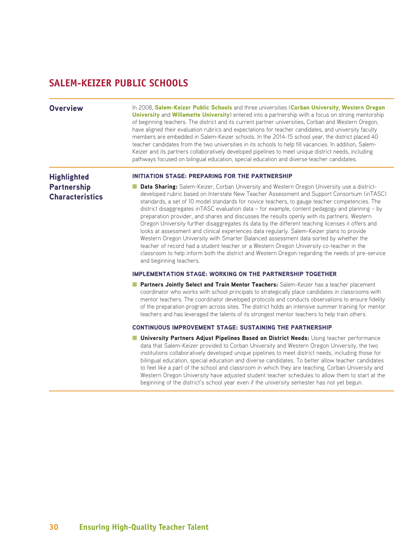# **SALEM-KEIZER PUBLIC SCHOOLS**

Overview In 2008, [Salem-Keizer Public Schools](http://www.salkeiz.k12.or.us/) and three universities ([Corban University](https://www.corban.edu/), Western Oregon [University](http://www.wou.edu/homepage/) and [Willamette University](http://willamette.edu/)) entered into a partnership with a focus on strong mentorship of beginning teachers. The district and its current partner universities, Corban and Western Oregon, have aligned their evaluation rubrics and expectations for teacher candidates, and university faculty members are embedded in Salem-Keizer schools. In the 2014-15 school year, the district placed 40 teacher candidates from the two universities in its schools to help fill vacancies. In addition, Salem-Keizer and its partners collaboratively developed pipelines to meet unique district needs, including pathways focused on bilingual education, special education and diverse teacher candidates.

# **Highlighted** Partnership **Characteristics**

## INITIATION STAGE: PREPARING FOR THE PARTNERSHIP

■ Data Sharing: Salem-Keizer, Corban University and Western Oregon University use a districtdeveloped rubric based on Interstate New Teacher Assessment and Support Consortium (inTASC) standards, a set of 10 model standards for novice teachers, to gauge teacher competencies. The district disaggregates inTASC evaluation data – for example, content pedagogy and planning – by preparation provider, and shares and discusses the results openly with its partners. Western Oregon University further disaggregates its data by the different teaching licenses it offers and looks at assessment and clinical experiences data regularly. Salem-Keizer plans to provide Western Oregon University with Smarter Balanced assessment data sorted by whether the teacher of record had a student teacher or a Western Oregon University co-teacher in the classroom to help inform both the district and Western Oregon regarding the needs of pre-service and beginning teachers.

## IMPLEMENTATION STAGE: WORKING ON THE PARTNERSHIP TOGETHER

■ Partners Jointly Select and Train Mentor Teachers: Salem-Keizer has a teacher placement coordinator who works with school principals to strategically place candidates in classrooms with mentor teachers. The coordinator developed protocols and conducts observations to ensure fidelity of the preparation program across sites. The district holds an intensive summer training for mentor teachers and has leveraged the talents of its strongest mentor teachers to help train others.

# CONTINUOUS IMPROVEMENT STAGE: SUSTAINING THE PARTNERSHIP

■ University Partners Adiust Pipelines Based on District Needs: Using teacher performance data that Salem-Keizer provided to Corban University and Western Oregon University, the two institutions collaboratively developed unique pipelines to meet district needs, including those for bilingual education, special education and diverse candidates. To better allow teacher candidates to feel like a part of the school and classroom in which they are teaching, Corban University and Western Oregon University have adjusted student teacher schedules to allow them to start at the beginning of the district's school year even if the university semester has not yet begun.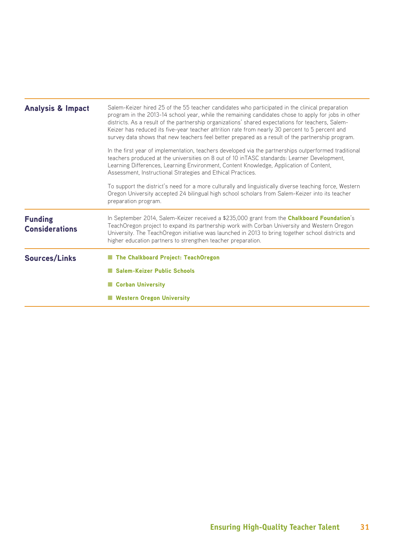| <b>Analysis &amp; Impact</b>            | Salem-Keizer hired 25 of the 55 teacher candidates who participated in the clinical preparation<br>program in the 2013-14 school year, while the remaining candidates chose to apply for jobs in other<br>districts. As a result of the partnership organizations' shared expectations for teachers, Salem-<br>Keizer has reduced its five-year teacher attrition rate from nearly 30 percent to 5 percent and<br>survey data shows that new teachers feel better prepared as a result of the partnership program.<br>In the first year of implementation, teachers developed via the partnerships outperformed traditional<br>teachers produced at the universities on 8 out of 10 in TASC standards: Learner Development,<br>Learning Differences, Learning Environment, Content Knowledge, Application of Content,<br>Assessment, Instructional Strategies and Ethical Practices.<br>To support the district's need for a more culturally and linguistically diverse teaching force, Western<br>Oregon University accepted 24 bilingual high school scholars from Salem-Keizer into its teacher<br>preparation program. |
|-----------------------------------------|----------------------------------------------------------------------------------------------------------------------------------------------------------------------------------------------------------------------------------------------------------------------------------------------------------------------------------------------------------------------------------------------------------------------------------------------------------------------------------------------------------------------------------------------------------------------------------------------------------------------------------------------------------------------------------------------------------------------------------------------------------------------------------------------------------------------------------------------------------------------------------------------------------------------------------------------------------------------------------------------------------------------------------------------------------------------------------------------------------------------------|
| <b>Funding</b><br><b>Considerations</b> | In September 2014, Salem-Keizer received a \$235,000 grant from the Chalkboard Foundation's<br>TeachOregon project to expand its partnership work with Corban University and Western Oregon<br>University. The TeachOregon initiative was launched in 2013 to bring together school districts and<br>higher education partners to strengthen teacher preparation.                                                                                                                                                                                                                                                                                                                                                                                                                                                                                                                                                                                                                                                                                                                                                          |
| <b>Sources/Links</b>                    | <b>The Chalkboard Project: TeachOregon</b><br><b>Salem-Keizer Public Schools</b><br>Corban University<br><b>Western Oregon University</b>                                                                                                                                                                                                                                                                                                                                                                                                                                                                                                                                                                                                                                                                                                                                                                                                                                                                                                                                                                                  |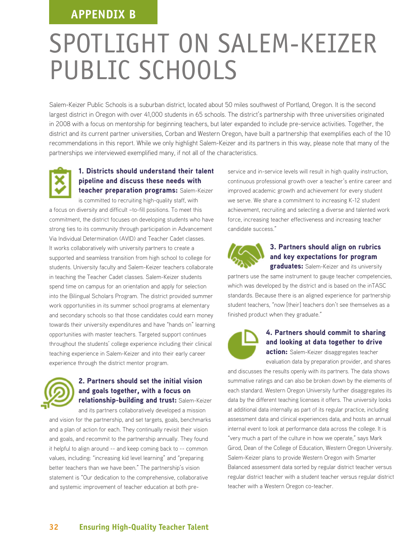# **APPENDIX B**

# SPOTLIGHT ON SALEM-KEIZER PUBLIC SCHOOLS

Salem-Keizer Public Schools is a suburban district, located about 50 miles southwest of Portland, Oregon. It is the second largest district in Oregon with over 41,000 students in 65 schools. The district's partnership with three universities originated in 2008 with a focus on mentorship for beginning teachers, but later expanded to include pre-service activities. Together, the district and its current partner universities, Corban and Western Oregon, have built a partnership that exemplifies each of the 10 recommendations in this report. While we only highlight Salem-Keizer and its partners in this way, please note that many of the partnerships we interviewed exemplified many, if not all of the characteristics.



# 1. Districts should understand their talent pipeline and discuss these needs with teacher preparation programs: Salem-Keizer

is committed to recruiting high-quality staff, with a focus on diversity and difficult –to-fill positions. To meet this commitment, the district focuses on developing students who have strong ties to its community through participation in Advancement Via Individual Determination (AVID) and Teacher Cadet classes. It works collaboratively with university partners to create a supported and seamless transition from high school to college for students. University faculty and Salem-Keizer teachers collaborate in teaching the Teacher Cadet classes. Salem-Keizer students spend time on campus for an orientation and apply for selection into the Bilingual Scholars Program. The district provided summer work opportunities in its summer school programs at elementary and secondary schools so that those candidates could earn money towards their university expenditures and have "hands on" learning opportunities with master teachers. Targeted support continues throughout the students' college experience including their clinical teaching experience in Salem-Keizer and into their early career experience through the district mentor program.



# 2. Partners should set the initial vision and goals together, with a focus on relationship-building and trust: Salem-Keizer

and its partners collaboratively developed a mission and vision for the partnership, and set targets, goals, benchmarks and a plan of action for each. They continually revisit their vision and goals, and recommit to the partnership annually. They found it helpful to align around -- and keep coming back to -- common values, including: "increasing kid level learning" and "preparing better teachers than we have been." The partnership's vision statement is "Our dedication to the comprehensive, collaborative and systemic improvement of teacher education at both preservice and in-service levels will result in high quality instruction, continuous professional growth over a teacher's entire career and improved academic growth and achievement for every student we serve. We share a commitment to increasing K-12 student achievement, recruiting and selecting a diverse and talented work force, increasing teacher effectiveness and increasing teacher candidate success."



# 3. Partners should align on rubrics and key expectations for program

graduates: Salem-Keizer and its university

partners use the same instrument to gauge teacher competencies, which was developed by the district and is based on the inTASC standards. Because there is an aligned experience for partnership student teachers, "now [their] teachers don't see themselves as a finished product when they graduate."



# 4. Partners should commit to sharing and looking at data together to drive

**action:** Salem-Keizer disaggregates teacher evaluation data by preparation provider, and shares

and discusses the results openly with its partners. The data shows summative ratings and can also be broken down by the elements of each standard. Western Oregon University further disaggregates its data by the different teaching licenses it offers. The university looks at additional data internally as part of its regular practice, including assessment data and clinical experiences data, and hosts an annual internal event to look at performance data across the college. It is "very much a part of the culture in how we operate," says Mark Girod, Dean of the College of Education, Western Oregon University. Salem-Keizer plans to provide Western Oregon with Smarter Balanced assessment data sorted by regular district teacher versus regular district teacher with a student teacher versus regular district teacher with a Western Oregon co-teacher.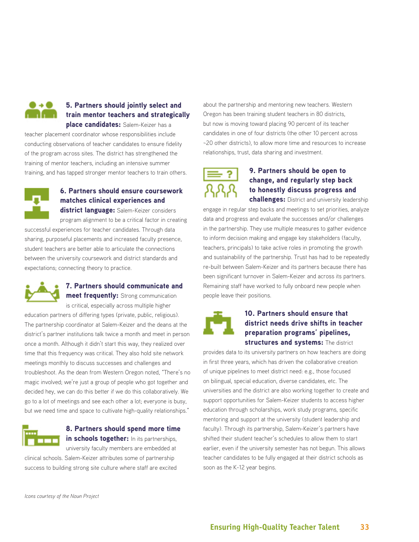

# 5. Partners should jointly select and train mentor teachers and strategically place candidates: Salem-Keizer has a

teacher placement coordinator whose responsibilities include conducting observations of teacher candidates to ensure fidelity of the program across sites. The district has strengthened the training of mentor teachers, including an intensive summer training, and has tapped stronger mentor teachers to train others.



# 6. Partners should ensure coursework matches clinical experiences and

district language: Salem-Keizer considers

program alignment to be a critical factor in creating successful experiences for teacher candidates. Through data sharing, purposeful placements and increased faculty presence, student teachers are better able to articulate the connections between the university coursework and district standards and expectations; connecting theory to practice.



# 7. Partners should communicate and meet frequently: Strong communication

is critical, especially across multiple higher

education partners of differing types (private, public, religious). The partnership coordinator at Salem-Keizer and the deans at the district's partner institutions talk twice a month and meet in person once a month. Although it didn't start this way, they realized over time that this frequency was critical. They also hold site network meetings monthly to discuss successes and challenges and troubleshoot. As the dean from Western Oregon noted, "There's no magic involved; we're just a group of people who got together and decided hey, we can do this better if we do this collaboratively. We go to a lot of meetings and see each other a lot; everyone is busy, but we need time and space to cultivate high-quality relationships."



8. Partners should spend more time in schools together: In its partnerships, university faculty members are embedded at

clinical schools. Salem-Keizer attributes some of partnership success to building strong site culture where staff are excited

about the partnership and mentoring new teachers. Western Oregon has been training student teachers in 80 districts, but now is moving toward placing 90 percent of its teacher candidates in one of four districts (the other 10 percent across ~20 other districts), to allow more time and resources to increase relationships, trust, data sharing and investment.



# 9. Partners should be open to change, and regularly step back to honestly discuss progress and challenges: District and university leadership

engage in regular step backs and meetings to set priorities, analyze data and progress and evaluate the successes and/or challenges in the partnership. They use multiple measures to gather evidence to inform decision making and engage key stakeholders (faculty, teachers, principals) to take active roles in promoting the growth and sustainability of the partnership. Trust has had to be repeatedly re-built between Salem-Keizer and its partners because there has been significant turnover in Salem-Keizer and across its partners. Remaining staff have worked to fully onboard new people when people leave their positions.



# 10. Partners should ensure that district needs drive shifts in teacher preparation programs' pipelines, structures and systems: The district

provides data to its university partners on how teachers are doing in first three years, which has driven the collaborative creation of unique pipelines to meet district need: e.g., those focused on bilingual, special education, diverse candidates, etc. The universities and the district are also working together to create and support opportunities for Salem-Keizer students to access higher education through scholarships, work study programs, specific mentoring and support at the university (student leadership and faculty). Through its partnership, Salem-Keizer's partners have shifted their student teacher's schedules to allow them to start earlier, even if the university semester has not begun. This allows teacher candidates to be fully engaged at their district schools as soon as the K-12 year begins.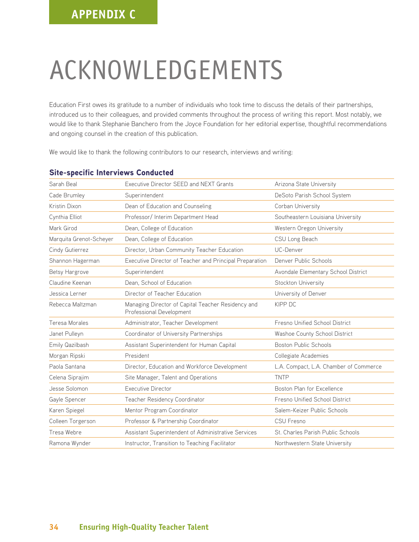# ACKNOWLEDGEMENTS

Education First owes its gratitude to a number of individuals who took time to discuss the details of their partnerships, introduced us to their colleagues, and provided comments throughout the process of writing this report. Most notably, we would like to thank Stephanie Banchero from the Joyce Foundation for her editorial expertise, thoughtful recommendations and ongoing counsel in the creation of this publication.

We would like to thank the following contributors to our research, interviews and writing:

| Sarah Beal              | Executive Director SEED and NEXT Grants                                        | Arizona State University               |
|-------------------------|--------------------------------------------------------------------------------|----------------------------------------|
| Cade Brumley            | Superintendent                                                                 | DeSoto Parish School System            |
| Kristin Dixon           | Dean of Education and Counseling                                               | Corban University                      |
| Cynthia Elliot          | Professor/ Interim Department Head                                             | Southeastern Louisiana University      |
| Mark Girod              | Dean, College of Education                                                     | Western Oregon University              |
| Marquita Grenot-Scheyer | Dean, College of Education                                                     | CSU Long Beach                         |
| Cindy Gutierrez         | Director, Urban Community Teacher Education                                    | UC-Denver                              |
| Shannon Hagerman        | Executive Director of Teacher and Principal Preparation                        | Denver Public Schools                  |
| Betsy Hargrove          | Superintendent                                                                 | Avondale Elementary School District    |
| Claudine Keenan         | Dean, School of Education                                                      | Stockton University                    |
| Jessica Lerner          | Director of Teacher Education                                                  | University of Denver                   |
| Rebecca Maltzman        | Managing Director of Capital Teacher Residency and<br>Professional Development | KIPP DC                                |
| Teresa Morales          | Administrator, Teacher Development                                             | Fresno Unified School District         |
| Janet Pulleyn           | Coordinator of University Partnerships                                         | Washoe County School District          |
| Emily Qazilbash         | Assistant Superintendent for Human Capital                                     | Boston Public Schools                  |
| Morgan Ripski           | President                                                                      | Collegiate Academies                   |
| Paola Santana           | Director, Education and Workforce Development                                  | L.A. Compact, L.A. Chamber of Commerce |
| Celena Siprajim         | Site Manager, Talent and Operations                                            | <b>TNTP</b>                            |
| Jesse Solomon           | <b>Executive Director</b>                                                      | Boston Plan for Excellence             |
| Gayle Spencer           | Teacher Residency Coordinator                                                  | Fresno Unified School District         |
| Karen Spiegel           | Mentor Program Coordinator                                                     | Salem-Keizer Public Schools            |
| Colleen Torgerson       | Professor & Partnership Coordinator                                            | CSU Fresno                             |
| Tresa Webre             | Assistant Superintendent of Administrative Services                            | St. Charles Parish Public Schools      |
| Ramona Wynder           | Instructor, Transition to Teaching Facilitator                                 | Northwestern State University          |

# Site-specific Interviews Conducted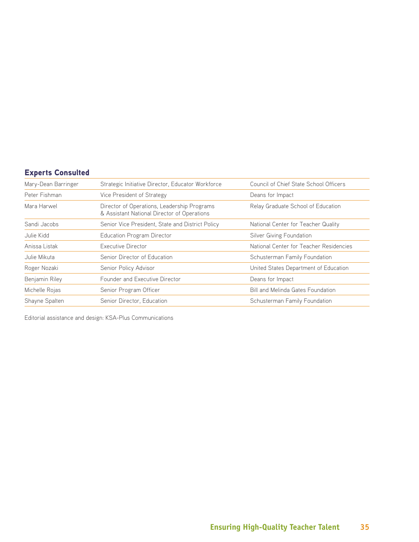# Experts Consulted

| Mary-Dean Barringer | Strategic Initiative Director, Educator Workforce                                          | Council of Chief State School Officers  |
|---------------------|--------------------------------------------------------------------------------------------|-----------------------------------------|
| Peter Fishman       | Vice President of Strategy                                                                 | Deans for Impact                        |
| Mara Harwel         | Director of Operations, Leadership Programs<br>& Assistant National Director of Operations | Relay Graduate School of Education      |
| Sandi Jacobs        | Senior Vice President, State and District Policy                                           | National Center for Teacher Quality     |
| Julie Kidd          | <b>Education Program Director</b>                                                          | Silver Giving Foundation                |
| Anissa Listak       | Executive Director                                                                         | National Center for Teacher Residencies |
| Julie Mikuta        | Senior Director of Education                                                               | Schusterman Family Foundation           |
| Roger Nozaki        | Senior Policy Advisor                                                                      | United States Department of Education   |
| Benjamin Riley      | Founder and Executive Director                                                             | Deans for Impact                        |
| Michelle Rojas      | Senior Program Officer                                                                     | Bill and Melinda Gates Foundation       |
| Shayne Spalten      | Senior Director, Education                                                                 | Schusterman Family Foundation           |

Editorial assistance and design: KSA-Plus Communications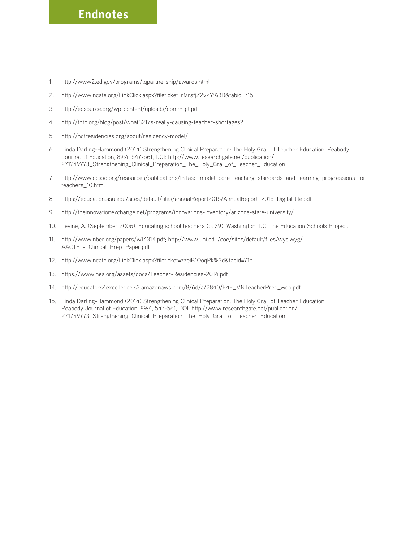# **Endnotes**

- 1. <http://www2.ed.gov/programs/tqpartnership/awards.html>
- 2. <http://www.ncate.org/LinkClick.aspx?fileticket=rMrsfjZ2vZY%3D&tabid=715>
- 3. <http://edsource.org/wp-content/uploads/commrpt.pdf>
- 4. <http://tntp.org/blog/post/what8217s-really-causing-teacher-shortages?>
- 5. <http://nctresidencies.org/about/residency-model/>
- 6. Linda Darling-Hammond (2014) Strengthening Clinical Preparation: The Holy Grail of Teacher Education, Peabody Journal of Education, 89:4, 547-561, DOI: [http://www.researchgate.net/publication/](http://www.researchgate.net/publication/271749773_Strengthening_Clinical_Preparation_The_Holy_Grail_of_Teacher_Education) [271749773\\_Strengthening\\_Clinical\\_Preparation\\_The\\_Holy\\_Grail\\_of\\_Teacher\\_Education](http://www.researchgate.net/publication/271749773_Strengthening_Clinical_Preparation_The_Holy_Grail_of_Teacher_Education)
- 7. [http://www.ccsso.org/resources/publications/InTasc\\_model\\_core\\_teaching\\_standards\\_and\\_learning\\_progressions\\_for\\_](http://www.ccsso.org/resources/publications/InTasc_model_core_teaching_standards_and_learning_progressions_for_teachers_10.html) [teachers\\_10.html](http://www.ccsso.org/resources/publications/InTasc_model_core_teaching_standards_and_learning_progressions_for_teachers_10.html)
- 8. [https://education.asu.edu/sites/default/files/annualReport2015/AnnualReport\\_2015\\_Digital-lite.pdf](https://education.asu.edu/sites/default/files/annualReport2015/AnnualReport_2015_Digital-lite.pdf)
- 9. <http://theinnovationexchange.net/programs/innovations-inventory/arizona-state-university/>
- 10. Levine, A. (September 2006). Educating school teachers (p. 39). Washington, DC: The Education Schools Project.
- 11. [http://www.nber.org/papers/w14314.pdf; http://www.uni.edu/coe/sites/default/files/wysiwyg/](http://www.nber.org/papers/w14314.pdf; http://www.uni.edu/coe/sites/default/files/wysiwyg/AACTE_-_Clinical_Prep_Paper.pdf) [AACTE\\_-\\_Clinical\\_Prep\\_Paper.pdf](http://www.nber.org/papers/w14314.pdf; http://www.uni.edu/coe/sites/default/files/wysiwyg/AACTE_-_Clinical_Prep_Paper.pdf)
- 12. <http://www.ncate.org/LinkClick.aspx?fileticket=zzeiB1OoqPk%3d&tabid=715>
- 13. <https://www.nea.org/assets/docs/Teacher-Residencies-2014.pdf>
- 14. [http://educators4excellence.s3.amazonaws.com/8/6d/a/2840/E4E\\_MNTeacherPrep\\_web.pdf](http://educators4excellence.s3.amazonaws.com/8/6d/a/2840/E4E_MNTeacherPrep_web.pdf)
- 15. Linda Darling-Hammond (2014) Strengthening Clinical Preparation: The Holy Grail of Teacher Education, Peabody Journal of Education, 89:4, 547-561, DOI: [http://www.researchgate.net/publication/](http://www.researchgate.net/publication/271749773_Strengthening_Clinical_Preparation_The_Holy_Grail_of_Teacher_Education) [271749773\\_Strengthening\\_Clinical\\_Preparation\\_The\\_Holy\\_Grail\\_of\\_Teacher\\_Education](http://www.researchgate.net/publication/271749773_Strengthening_Clinical_Preparation_The_Holy_Grail_of_Teacher_Education)